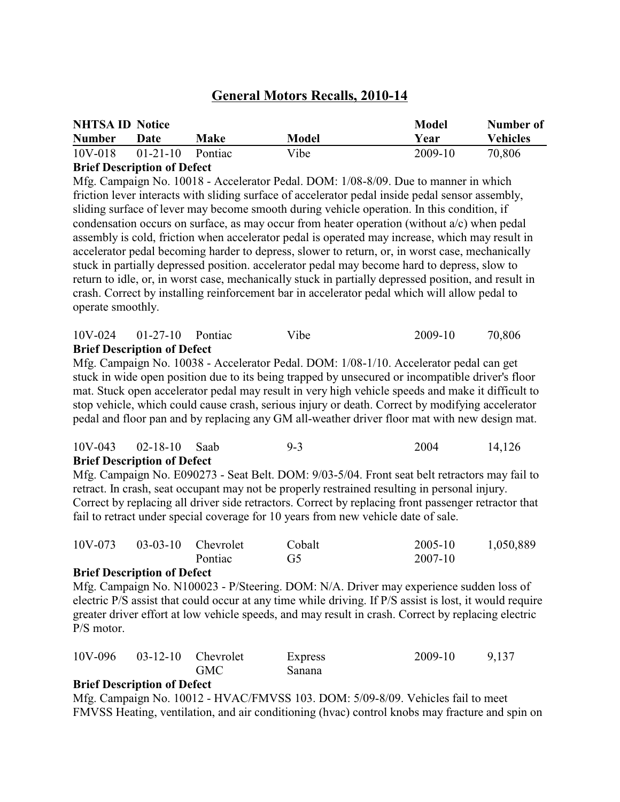# **General Motors Recalls, 2010-14**

| <b>NHTSA ID Notice</b> |                |         |       | Model   | Number of       |
|------------------------|----------------|---------|-------|---------|-----------------|
| <b>Number</b>          | Date           | Make    | Model | Year    | <b>Vehicles</b> |
| $10V-018$              | $01 - 21 - 10$ | Pontiac | Vibe  | 2009-10 | 70,806          |

#### **Brief Description of Defect**

Mfg. Campaign No. 10018 - Accelerator Pedal. DOM: 1/08-8/09. Due to manner in which friction lever interacts with sliding surface of accelerator pedal inside pedal sensor assembly, sliding surface of lever may become smooth during vehicle operation. In this condition, if condensation occurs on surface, as may occur from heater operation (without a/c) when pedal assembly is cold, friction when accelerator pedal is operated may increase, which may result in accelerator pedal becoming harder to depress, slower to return, or, in worst case, mechanically stuck in partially depressed position. accelerator pedal may become hard to depress, slow to return to idle, or, in worst case, mechanically stuck in partially depressed position, and result in crash. Correct by installing reinforcement bar in accelerator pedal which will allow pedal to operate smoothly.

| $\mathbf{D}^{n}$ of $\mathbf{D}^{n}$ computing $\mathbf{f} \mathbf{D}^{n}$ |      |         |        |
|----------------------------------------------------------------------------|------|---------|--------|
| $10V-024$ 01-27-10 Pontiac                                                 | Vibe | 2009-10 | 70,806 |

#### **Brief Description of Defect**

Mfg. Campaign No. 10038 - Accelerator Pedal. DOM: 1/08-1/10. Accelerator pedal can get stuck in wide open position due to its being trapped by unsecured or incompatible driver's floor mat. Stuck open accelerator pedal may result in very high vehicle speeds and make it difficult to stop vehicle, which could cause crash, serious injury or death. Correct by modifying accelerator pedal and floor pan and by replacing any GM all-weather driver floor mat with new design mat.

| $10V - 043$ | 02-18-10 Saab                      | $9-3$ | 2004 | 14,126 |
|-------------|------------------------------------|-------|------|--------|
|             | <b>Brief Description of Defect</b> |       |      |        |

Mfg. Campaign No. E090273 - Seat Belt. DOM: 9/03-5/04. Front seat belt retractors may fail to retract. In crash, seat occupant may not be properly restrained resulting in personal injury. Correct by replacing all driver side retractors. Correct by replacing front passenger retractor that fail to retract under special coverage for 10 years from new vehicle date of sale.

| 10V-073 | $03-03-10$ Chevrolet |         | Cobalt | 2005-10 | 1,050,889 |
|---------|----------------------|---------|--------|---------|-----------|
|         |                      | Pontiac | G5     | 2007-10 |           |

#### **Brief Description of Defect**

Mfg. Campaign No. N100023 - P/Steering. DOM: N/A. Driver may experience sudden loss of electric P/S assist that could occur at any time while driving. If P/S assist is lost, it would require greater driver effort at low vehicle speeds, and may result in crash. Correct by replacing electric P/S motor.

| 10V-096 03-12-10 Chevrolet |            | Express | 2009-10 | 9,137 |
|----------------------------|------------|---------|---------|-------|
|                            | <b>GMC</b> | Sanana  |         |       |

#### **Brief Description of Defect**

Mfg. Campaign No. 10012 - HVAC/FMVSS 103. DOM: 5/09-8/09. Vehicles fail to meet FMVSS Heating, ventilation, and air conditioning (hvac) control knobs may fracture and spin on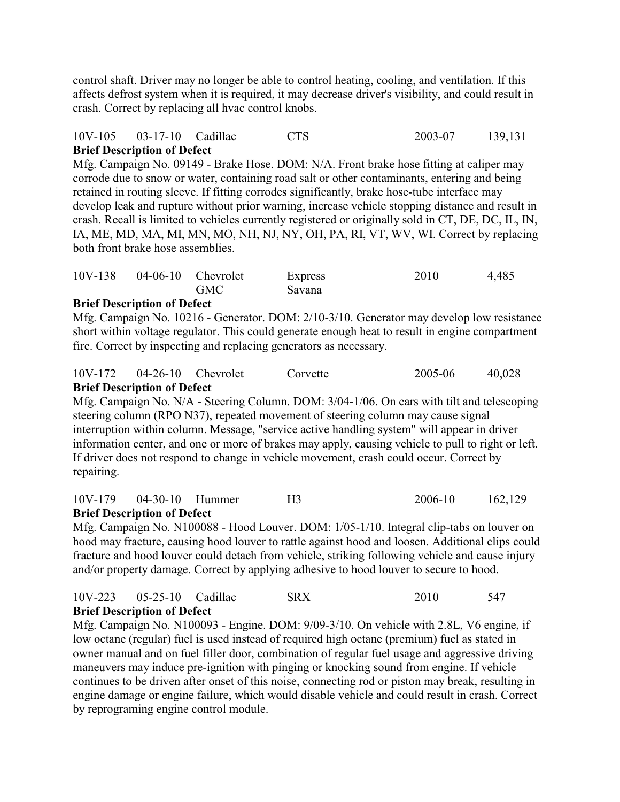control shaft. Driver may no longer be able to control heating, cooling, and ventilation. If this affects defrost system when it is required, it may decrease driver's visibility, and could result in crash. Correct by replacing all hvac control knobs.

### 10V-105 03-17-10 Cadillac CTS 2003-07 139,131 **Brief Description of Defect**

Mfg. Campaign No. 09149 - Brake Hose. DOM: N/A. Front brake hose fitting at caliper may corrode due to snow or water, containing road salt or other contaminants, entering and being retained in routing sleeve. If fitting corrodes significantly, brake hose-tube interface may develop leak and rupture without prior warning, increase vehicle stopping distance and result in crash. Recall is limited to vehicles currently registered or originally sold in CT, DE, DC, IL, IN, IA, ME, MD, MA, MI, MN, MO, NH, NJ, NY, OH, PA, RI, VT, WV, WI. Correct by replacing both front brake hose assemblies.

| $10V-138$ | $04-06-10$ Chevrolet |            | Express | 2010 | 4,485 |
|-----------|----------------------|------------|---------|------|-------|
|           |                      | <b>GMC</b> | Savana  |      |       |

## **Brief Description of Defect**

Mfg. Campaign No. 10216 - Generator. DOM: 2/10-3/10. Generator may develop low resistance short within voltage regulator. This could generate enough heat to result in engine compartment fire. Correct by inspecting and replacing generators as necessary.

| 10V-172 |                                    | $04-26-10$ Chevrolet | Corvette | 2005-06 | 40,028 |
|---------|------------------------------------|----------------------|----------|---------|--------|
|         | <b>Brief Description of Defect</b> |                      |          |         |        |

Mfg. Campaign No. N/A - Steering Column. DOM: 3/04-1/06. On cars with tilt and telescoping steering column (RPO N37), repeated movement of steering column may cause signal interruption within column. Message, "service active handling system" will appear in driver information center, and one or more of brakes may apply, causing vehicle to pull to right or left. If driver does not respond to change in vehicle movement, crash could occur. Correct by repairing.

#### 10V-179 04-30-10 Hummer H3 2006-10 162,129 **Brief Description of Defect**

Mfg. Campaign No. N100088 - Hood Louver. DOM: 1/05-1/10. Integral clip-tabs on louver on hood may fracture, causing hood louver to rattle against hood and loosen. Additional clips could fracture and hood louver could detach from vehicle, striking following vehicle and cause injury and/or property damage. Correct by applying adhesive to hood louver to secure to hood.

#### 10V-223 05-25-10 Cadillac SRX 2010 547 **Brief Description of Defect**

Mfg. Campaign No. N100093 - Engine. DOM: 9/09-3/10. On vehicle with 2.8L, V6 engine, if low octane (regular) fuel is used instead of required high octane (premium) fuel as stated in owner manual and on fuel filler door, combination of regular fuel usage and aggressive driving maneuvers may induce pre-ignition with pinging or knocking sound from engine. If vehicle continues to be driven after onset of this noise, connecting rod or piston may break, resulting in engine damage or engine failure, which would disable vehicle and could result in crash. Correct by reprograming engine control module.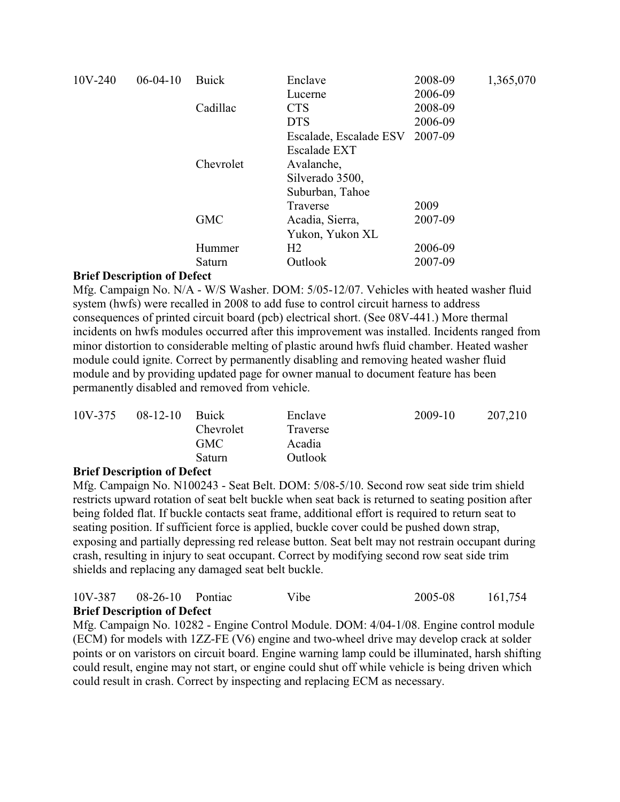| 10V-240 | $06-04-10$                            | <b>Buick</b> | Enclave                | 2008-09 | 1,365,070 |
|---------|---------------------------------------|--------------|------------------------|---------|-----------|
|         |                                       |              | Lucerne                | 2006-09 |           |
|         |                                       | Cadillac     | <b>CTS</b>             | 2008-09 |           |
|         |                                       |              | <b>DTS</b>             | 2006-09 |           |
|         |                                       |              | Escalade, Escalade ESV | 2007-09 |           |
|         |                                       |              | <b>Escalade EXT</b>    |         |           |
|         |                                       | Chevrolet    | Avalanche,             |         |           |
|         |                                       |              | Silverado 3500,        |         |           |
|         |                                       |              | Suburban, Tahoe        |         |           |
|         |                                       |              | Traverse               | 2009    |           |
|         |                                       | <b>GMC</b>   | Acadia, Sierra,        | 2007-09 |           |
|         |                                       |              | Yukon, Yukon XL        |         |           |
|         |                                       | Hummer       | H <sub>2</sub>         | 2006-09 |           |
|         |                                       | Saturn       | Outlook                | 2007-09 |           |
|         | $\sim$ $\sim$<br>$\ddot{\phantom{a}}$ |              |                        |         |           |

Mfg. Campaign No. N/A - W/S Washer. DOM: 5/05-12/07. Vehicles with heated washer fluid system (hwfs) were recalled in 2008 to add fuse to control circuit harness to address consequences of printed circuit board (pcb) electrical short. (See 08V-441.) More thermal incidents on hwfs modules occurred after this improvement was installed. Incidents ranged from minor distortion to considerable melting of plastic around hwfs fluid chamber. Heated washer module could ignite. Correct by permanently disabling and removing heated washer fluid module and by providing updated page for owner manual to document feature has been permanently disabled and removed from vehicle.

| 10V-375 | $08-12-10$ | <b>Buick</b><br>Chevrolet<br><b>GMC</b> | Enclave<br>Traverse<br>Acadia | 2009-10 | 207,210 |
|---------|------------|-----------------------------------------|-------------------------------|---------|---------|
|         |            | Saturn                                  | Outlook                       |         |         |

## **Brief Description of Defect**

Mfg. Campaign No. N100243 - Seat Belt. DOM: 5/08-5/10. Second row seat side trim shield restricts upward rotation of seat belt buckle when seat back is returned to seating position after being folded flat. If buckle contacts seat frame, additional effort is required to return seat to seating position. If sufficient force is applied, buckle cover could be pushed down strap, exposing and partially depressing red release button. Seat belt may not restrain occupant during crash, resulting in injury to seat occupant. Correct by modifying second row seat side trim shields and replacing any damaged seat belt buckle.

| 10V-387 | $08-26-10$ Pontiac                 | Vibe | 2005-08 | 161,754 |
|---------|------------------------------------|------|---------|---------|
|         | <b>Brief Description of Defect</b> |      |         |         |

Mfg. Campaign No. 10282 - Engine Control Module. DOM: 4/04-1/08. Engine control module (ECM) for models with 1ZZ-FE (V6) engine and two-wheel drive may develop crack at solder points or on varistors on circuit board. Engine warning lamp could be illuminated, harsh shifting could result, engine may not start, or engine could shut off while vehicle is being driven which could result in crash. Correct by inspecting and replacing ECM as necessary.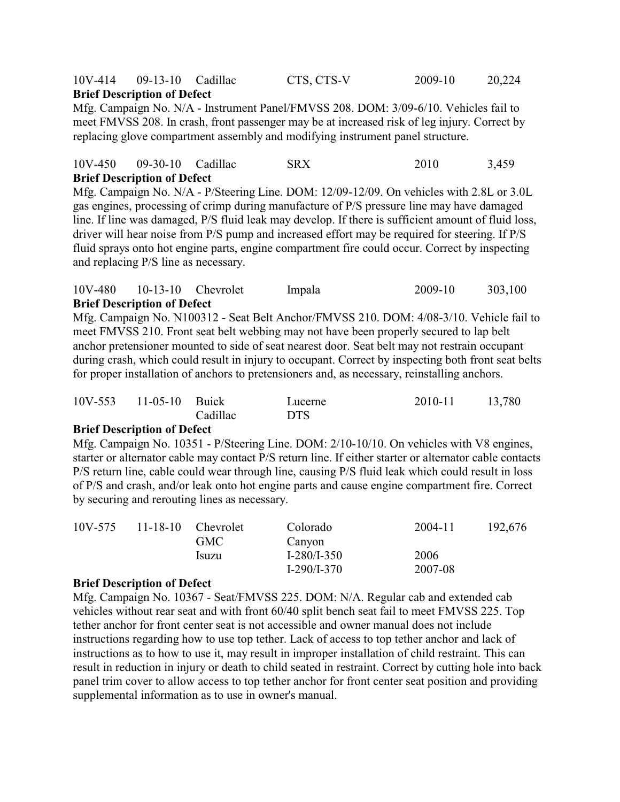### 10V-414 09-13-10 Cadillac CTS, CTS-V 2009-10 20,224 **Brief Description of Defect**

Mfg. Campaign No. N/A - Instrument Panel/FMVSS 208. DOM: 3/09-6/10. Vehicles fail to meet FMVSS 208. In crash, front passenger may be at increased risk of leg injury. Correct by replacing glove compartment assembly and modifying instrument panel structure.

#### 10V-450 09-30-10 Cadillac SRX 2010 3,459 **Brief Description of Defect**

Mfg. Campaign No. N/A - P/Steering Line. DOM: 12/09-12/09. On vehicles with 2.8L or 3.0L gas engines, processing of crimp during manufacture of P/S pressure line may have damaged line. If line was damaged, P/S fluid leak may develop. If there is sufficient amount of fluid loss, driver will hear noise from P/S pump and increased effort may be required for steering. If P/S fluid sprays onto hot engine parts, engine compartment fire could occur. Correct by inspecting and replacing P/S line as necessary.

#### 10V-480 10-13-10 Chevrolet Impala 2009-10 303,100 **Brief Description of Defect**

Mfg. Campaign No. N100312 - Seat Belt Anchor/FMVSS 210. DOM: 4/08-3/10. Vehicle fail to meet FMVSS 210. Front seat belt webbing may not have been properly secured to lap belt anchor pretensioner mounted to side of seat nearest door. Seat belt may not restrain occupant during crash, which could result in injury to occupant. Correct by inspecting both front seat belts for proper installation of anchors to pretensioners and, as necessary, reinstalling anchors.

| 10V-553 11-05-10 Buick |          | Lucerne    | 2010-11 | 13,780 |
|------------------------|----------|------------|---------|--------|
|                        | Cadillac | <b>DTS</b> |         |        |

#### **Brief Description of Defect**

Mfg. Campaign No. 10351 - P/Steering Line. DOM: 2/10-10/10. On vehicles with V8 engines, starter or alternator cable may contact P/S return line. If either starter or alternator cable contacts P/S return line, cable could wear through line, causing P/S fluid leak which could result in loss of P/S and crash, and/or leak onto hot engine parts and cause engine compartment fire. Correct by securing and rerouting lines as necessary.

| 10V-575<br>$11 - 18 - 10$ | <b>Chevrolet</b> | Colorado | 2004-11       | 192,676 |  |
|---------------------------|------------------|----------|---------------|---------|--|
|                           |                  | GMC-     | Canyon        |         |  |
|                           |                  | Isuzu    | $I-280/I-350$ | 2006    |  |
|                           |                  |          | $I-290/I-370$ | 2007-08 |  |

#### **Brief Description of Defect**

Mfg. Campaign No. 10367 - Seat/FMVSS 225. DOM: N/A. Regular cab and extended cab vehicles without rear seat and with front 60/40 split bench seat fail to meet FMVSS 225. Top tether anchor for front center seat is not accessible and owner manual does not include instructions regarding how to use top tether. Lack of access to top tether anchor and lack of instructions as to how to use it, may result in improper installation of child restraint. This can result in reduction in injury or death to child seated in restraint. Correct by cutting hole into back panel trim cover to allow access to top tether anchor for front center seat position and providing supplemental information as to use in owner's manual.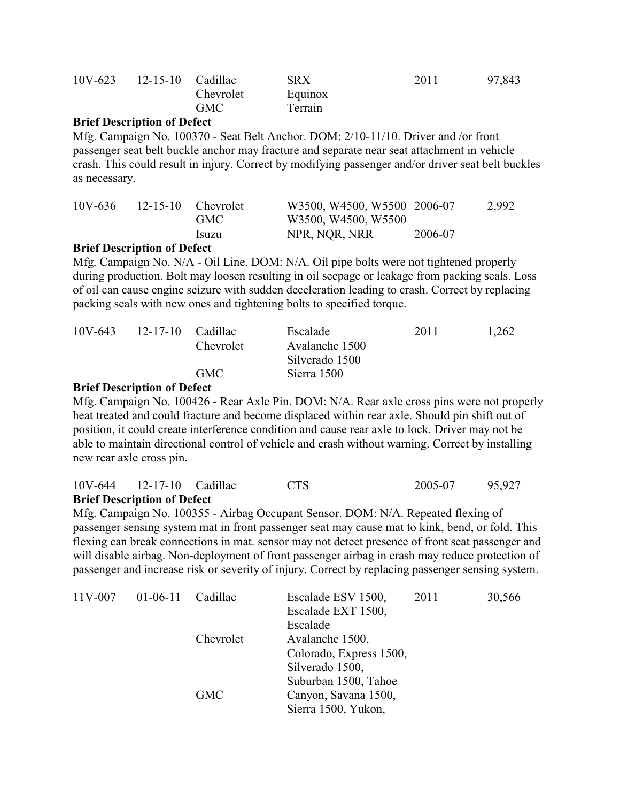| 12-15-10 Cadillac<br><b>SRX</b> | 2011 | 97,843 |
|---------------------------------|------|--------|
| Equinox<br>Chevrolet            |      |        |
| Terrain                         |      |        |
|                                 |      |        |

Mfg. Campaign No. 100370 - Seat Belt Anchor. DOM: 2/10-11/10. Driver and /or front passenger seat belt buckle anchor may fracture and separate near seat attachment in vehicle crash. This could result in injury. Correct by modifying passenger and/or driver seat belt buckles as necessary.

|            |                           | GMC   | W3500, W4500, W5500 |         |  |
|------------|---------------------------|-------|---------------------|---------|--|
| <b>n</b> n | $\mathbf{A}$ $\mathbf{A}$ | Isuzu | NPR, NQR, NRR       | 2006-07 |  |

#### **Brief Description of Defect**

Mfg. Campaign No. N/A - Oil Line. DOM: N/A. Oil pipe bolts were not tightened properly during production. Bolt may loosen resulting in oil seepage or leakage from packing seals. Loss of oil can cause engine seizure with sudden deceleration leading to crash. Correct by replacing packing seals with new ones and tightening bolts to specified torque.

| $10V - 643$ | 12-17-10 Cadillac |            | Escalade       | 2011 | 1,262 |
|-------------|-------------------|------------|----------------|------|-------|
|             |                   | Chevrolet  | Avalanche 1500 |      |       |
|             |                   |            | Silverado 1500 |      |       |
|             |                   | <b>GMC</b> | Sierra 1500    |      |       |

#### **Brief Description of Defect**

Mfg. Campaign No. 100426 - Rear Axle Pin. DOM: N/A. Rear axle cross pins were not properly heat treated and could fracture and become displaced within rear axle. Should pin shift out of position, it could create interference condition and cause rear axle to lock. Driver may not be able to maintain directional control of vehicle and crash without warning. Correct by installing new rear axle cross pin.

10V-644 12-17-10 Cadillac CTS 2005-07 95,927

#### **Brief Description of Defect**

Mfg. Campaign No. 100355 - Airbag Occupant Sensor. DOM: N/A. Repeated flexing of passenger sensing system mat in front passenger seat may cause mat to kink, bend, or fold. This flexing can break connections in mat. sensor may not detect presence of front seat passenger and will disable airbag. Non-deployment of front passenger airbag in crash may reduce protection of passenger and increase risk or severity of injury. Correct by replacing passenger sensing system.

| 11V-007 | $01-06-11$ | Cadillac                | Escalade ESV 1500,   | 2011 | 30,566 |
|---------|------------|-------------------------|----------------------|------|--------|
|         |            |                         | Escalade EXT 1500,   |      |        |
|         |            |                         | Escalade             |      |        |
|         | Chevrolet  | Avalanche 1500,         |                      |      |        |
|         |            | Colorado, Express 1500, |                      |      |        |
|         |            |                         | Silverado 1500,      |      |        |
|         |            |                         | Suburban 1500, Tahoe |      |        |
|         |            | <b>GMC</b>              | Canyon, Savana 1500, |      |        |
|         |            |                         | Sierra 1500, Yukon,  |      |        |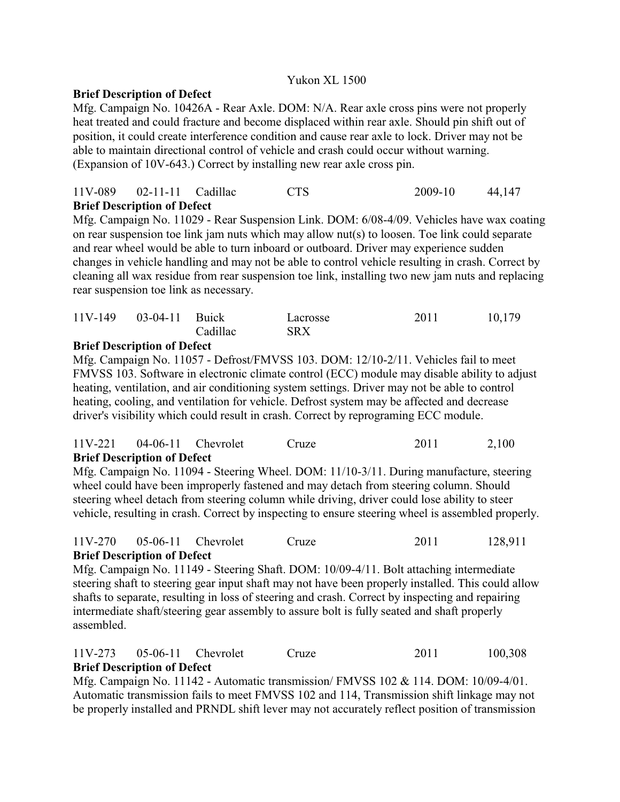### Yukon XL 1500

### **Brief Description of Defect**

Mfg. Campaign No. 10426A - Rear Axle. DOM: N/A. Rear axle cross pins were not properly heat treated and could fracture and become displaced within rear axle. Should pin shift out of position, it could create interference condition and cause rear axle to lock. Driver may not be able to maintain directional control of vehicle and crash could occur without warning. (Expansion of 10V-643.) Correct by installing new rear axle cross pin.

| <b>Brief Description of Defect</b> |            |         |        |
|------------------------------------|------------|---------|--------|
| $11V-089$ $02-11-11$ Cadillac      | <b>CTS</b> | 2009-10 | 44,147 |

Mfg. Campaign No. 11029 - Rear Suspension Link. DOM: 6/08-4/09. Vehicles have wax coating on rear suspension toe link jam nuts which may allow nut(s) to loosen. Toe link could separate and rear wheel would be able to turn inboard or outboard. Driver may experience sudden changes in vehicle handling and may not be able to control vehicle resulting in crash. Correct by cleaning all wax residue from rear suspension toe link, installing two new jam nuts and replacing rear suspension toe link as necessary.

| $11V-149$ 03-04-11 Buick |          | Lacrosse   | 2011 | 10,179 |
|--------------------------|----------|------------|------|--------|
|                          | Cadillac | <b>SRX</b> |      |        |

#### **Brief Description of Defect**

Mfg. Campaign No. 11057 - Defrost/FMVSS 103. DOM: 12/10-2/11. Vehicles fail to meet FMVSS 103. Software in electronic climate control (ECC) module may disable ability to adjust heating, ventilation, and air conditioning system settings. Driver may not be able to control heating, cooling, and ventilation for vehicle. Defrost system may be affected and decrease driver's visibility which could result in crash. Correct by reprograming ECC module.

#### 11V-221 04-06-11 Chevrolet Cruze 2011 2,100 **Brief Description of Defect**

Mfg. Campaign No. 11094 - Steering Wheel. DOM: 11/10-3/11. During manufacture, steering wheel could have been improperly fastened and may detach from steering column. Should steering wheel detach from steering column while driving, driver could lose ability to steer vehicle, resulting in crash. Correct by inspecting to ensure steering wheel is assembled properly.

### 11V-270 05-06-11 Chevrolet Cruze 2011 128,911 **Brief Description of Defect**

Mfg. Campaign No. 11149 - Steering Shaft. DOM: 10/09-4/11. Bolt attaching intermediate steering shaft to steering gear input shaft may not have been properly installed. This could allow shafts to separate, resulting in loss of steering and crash. Correct by inspecting and repairing intermediate shaft/steering gear assembly to assure bolt is fully seated and shaft properly assembled.

### 11V-273 05-06-11 Chevrolet Cruze 2011 100,308 **Brief Description of Defect**

Mfg. Campaign No. 11142 - Automatic transmission/ FMVSS 102 & 114. DOM: 10/09-4/01. Automatic transmission fails to meet FMVSS 102 and 114, Transmission shift linkage may not be properly installed and PRNDL shift lever may not accurately reflect position of transmission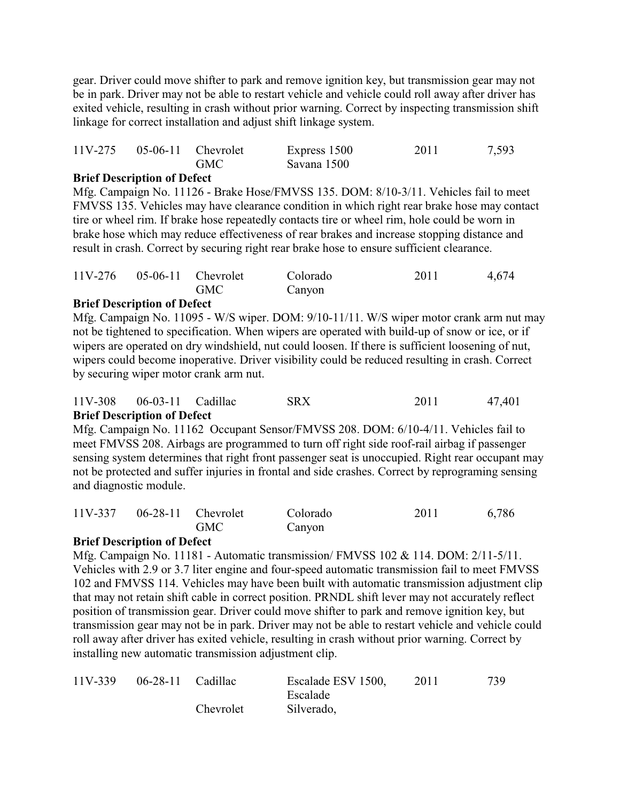gear. Driver could move shifter to park and remove ignition key, but transmission gear may not be in park. Driver may not be able to restart vehicle and vehicle could roll away after driver has exited vehicle, resulting in crash without prior warning. Correct by inspecting transmission shift linkage for correct installation and adjust shift linkage system.

|  | $11V-275$ 05-06-11 Chevrolet | Express 1500 | 2011 | 7,593 |
|--|------------------------------|--------------|------|-------|
|  | <b>GMC</b>                   | Savana 1500  |      |       |

### **Brief Description of Defect**

Mfg. Campaign No. 11126 - Brake Hose/FMVSS 135. DOM: 8/10-3/11. Vehicles fail to meet FMVSS 135. Vehicles may have clearance condition in which right rear brake hose may contact tire or wheel rim. If brake hose repeatedly contacts tire or wheel rim, hole could be worn in brake hose which may reduce effectiveness of rear brakes and increase stopping distance and result in crash. Correct by securing right rear brake hose to ensure sufficient clearance.

|  | $11V-276$ 05-06-11 Chevrolet | Colorado | 2011 | 4,674 |
|--|------------------------------|----------|------|-------|
|  | <b>GMC</b>                   | Canyon   |      |       |

## **Brief Description of Defect**

Mfg. Campaign No. 11095 - W/S wiper. DOM: 9/10-11/11. W/S wiper motor crank arm nut may not be tightened to specification. When wipers are operated with build-up of snow or ice, or if wipers are operated on dry windshield, nut could loosen. If there is sufficient loosening of nut, wipers could become inoperative. Driver visibility could be reduced resulting in crash. Correct by securing wiper motor crank arm nut.

| <b>Brief Description of Defect</b> |            |      |        |
|------------------------------------|------------|------|--------|
| $11V-308$ 06-03-11 Cadillac        | <b>SRX</b> | 2011 | 47,401 |

Mfg. Campaign No. 11162 Occupant Sensor/FMVSS 208. DOM: 6/10-4/11. Vehicles fail to meet FMVSS 208. Airbags are programmed to turn off right side roof-rail airbag if passenger sensing system determines that right front passenger seat is unoccupied. Right rear occupant may not be protected and suffer injuries in frontal and side crashes. Correct by reprograming sensing and diagnostic module.

| $11V-337$ 06-28-11 Chevrolet |            | Colorado | 2011 | 6,786 |
|------------------------------|------------|----------|------|-------|
|                              | <b>GMC</b> | Canyon   |      |       |

## **Brief Description of Defect**

Mfg. Campaign No. 11181 - Automatic transmission/ FMVSS 102 & 114. DOM: 2/11-5/11. Vehicles with 2.9 or 3.7 liter engine and four-speed automatic transmission fail to meet FMVSS 102 and FMVSS 114. Vehicles may have been built with automatic transmission adjustment clip that may not retain shift cable in correct position. PRNDL shift lever may not accurately reflect position of transmission gear. Driver could move shifter to park and remove ignition key, but transmission gear may not be in park. Driver may not be able to restart vehicle and vehicle could roll away after driver has exited vehicle, resulting in crash without prior warning. Correct by installing new automatic transmission adjustment clip.

| 11V-339 | $06-28-11$ Cadillac |           | Escalade ESV 1500, | 2011 | 739 |
|---------|---------------------|-----------|--------------------|------|-----|
|         |                     |           | Escalade           |      |     |
|         |                     | Chevrolet | Silverado,         |      |     |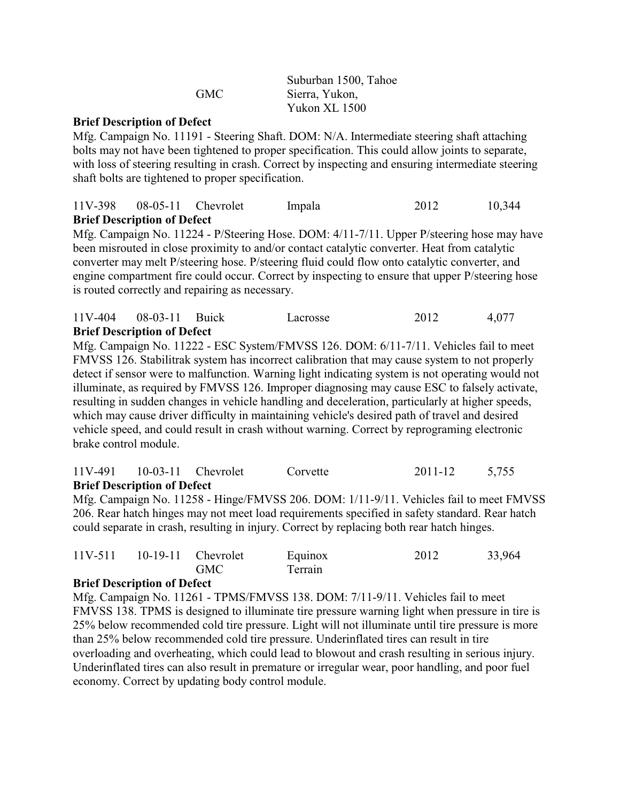|     | Suburban 1500, Tahoe |
|-----|----------------------|
| GMC | Sierra, Yukon,       |
|     | Yukon XL 1500        |

Mfg. Campaign No. 11191 - Steering Shaft. DOM: N/A. Intermediate steering shaft attaching bolts may not have been tightened to proper specification. This could allow joints to separate, with loss of steering resulting in crash. Correct by inspecting and ensuring intermediate steering shaft bolts are tightened to proper specification.

## 11V-398 08-05-11 Chevrolet Impala 2012 10,344 **Brief Description of Defect**

Mfg. Campaign No. 11224 - P/Steering Hose. DOM: 4/11-7/11. Upper P/steering hose may have been misrouted in close proximity to and/or contact catalytic converter. Heat from catalytic converter may melt P/steering hose. P/steering fluid could flow onto catalytic converter, and engine compartment fire could occur. Correct by inspecting to ensure that upper P/steering hose is routed correctly and repairing as necessary.

|         | <b>Brief Description of Defect</b> |          |      |       |
|---------|------------------------------------|----------|------|-------|
| 11V-404 | 08-03-11 Buick                     | Lacrosse | 2012 | 4,077 |

Mfg. Campaign No. 11222 - ESC System/FMVSS 126. DOM: 6/11-7/11. Vehicles fail to meet FMVSS 126. Stabilitrak system has incorrect calibration that may cause system to not properly detect if sensor were to malfunction. Warning light indicating system is not operating would not illuminate, as required by FMVSS 126. Improper diagnosing may cause ESC to falsely activate, resulting in sudden changes in vehicle handling and deceleration, particularly at higher speeds, which may cause driver difficulty in maintaining vehicle's desired path of travel and desired vehicle speed, and could result in crash without warning. Correct by reprograming electronic brake control module.

|                                    | $11V-491$ $10-03-11$ Chevrolet | Corvette | 2011-12 | 5,755 |
|------------------------------------|--------------------------------|----------|---------|-------|
| <b>Brief Description of Defect</b> |                                |          |         |       |

Mfg. Campaign No. 11258 - Hinge/FMVSS 206. DOM: 1/11-9/11. Vehicles fail to meet FMVSS 206. Rear hatch hinges may not meet load requirements specified in safety standard. Rear hatch could separate in crash, resulting in injury. Correct by replacing both rear hatch hinges.

|  | $11V-511$ $10-19-11$ Chevrolet<br><b>GMC</b> | Equinox<br>Terrain | 2012 | 33,964 |
|--|----------------------------------------------|--------------------|------|--------|
|  |                                              |                    |      |        |

#### **Brief Description of Defect**

Mfg. Campaign No. 11261 - TPMS/FMVSS 138. DOM: 7/11-9/11. Vehicles fail to meet FMVSS 138. TPMS is designed to illuminate tire pressure warning light when pressure in tire is 25% below recommended cold tire pressure. Light will not illuminate until tire pressure is more than 25% below recommended cold tire pressure. Underinflated tires can result in tire overloading and overheating, which could lead to blowout and crash resulting in serious injury. Underinflated tires can also result in premature or irregular wear, poor handling, and poor fuel economy. Correct by updating body control module.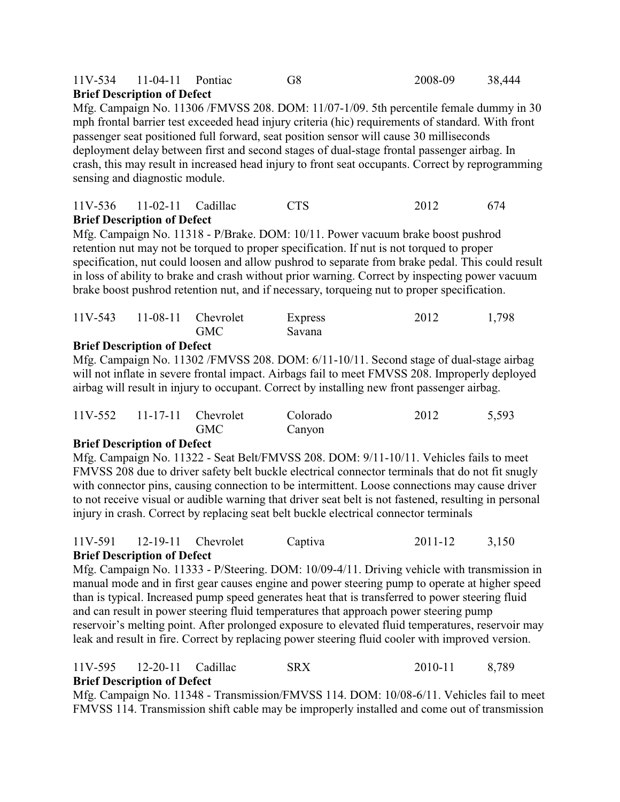#### 11V-534 11-04-11 Pontiac G8 2008-09 38,444 **Brief Description of Defect**

Mfg. Campaign No. 11306 /FMVSS 208. DOM: 11/07-1/09. 5th percentile female dummy in 30 mph frontal barrier test exceeded head injury criteria (hic) requirements of standard. With front passenger seat positioned full forward, seat position sensor will cause 30 milliseconds deployment delay between first and second stages of dual-stage frontal passenger airbag. In crash, this may result in increased head injury to front seat occupants. Correct by reprogramming sensing and diagnostic module.

## 11V-536 11-02-11 Cadillac CTS 2012 674 **Brief Description of Defect**

Mfg. Campaign No. 11318 - P/Brake. DOM: 10/11. Power vacuum brake boost pushrod retention nut may not be torqued to proper specification. If nut is not torqued to proper specification, nut could loosen and allow pushrod to separate from brake pedal. This could result in loss of ability to brake and crash without prior warning. Correct by inspecting power vacuum brake boost pushrod retention nut, and if necessary, torqueing nut to proper specification.

|  | $11V-543$ $11-08-11$ Chevrolet<br><b>GMC</b> | Express<br>Savana | 2012 | 1,798 |
|--|----------------------------------------------|-------------------|------|-------|
|  |                                              |                   |      |       |

## **Brief Description of Defect**

Mfg. Campaign No. 11302 /FMVSS 208. DOM: 6/11-10/11. Second stage of dual-stage airbag will not inflate in severe frontal impact. Airbags fail to meet FMVSS 208. Improperly deployed airbag will result in injury to occupant. Correct by installing new front passenger airbag.

|  | $11V-552$ 11-17-11 Chevrolet | Colorado | 2012 | 5,593 |
|--|------------------------------|----------|------|-------|
|  | <b>GMC</b>                   | Canyon   |      |       |

#### **Brief Description of Defect**

Mfg. Campaign No. 11322 - Seat Belt/FMVSS 208. DOM: 9/11-10/11. Vehicles fails to meet FMVSS 208 due to driver safety belt buckle electrical connector terminals that do not fit snugly with connector pins, causing connection to be intermittent. Loose connections may cause driver to not receive visual or audible warning that driver seat belt is not fastened, resulting in personal injury in crash. Correct by replacing seat belt buckle electrical connector terminals

### 11V-591 12-19-11 Chevrolet Captiva 2011-12 3,150 **Brief Description of Defect**

Mfg. Campaign No. 11333 - P/Steering. DOM: 10/09-4/11. Driving vehicle with transmission in manual mode and in first gear causes engine and power steering pump to operate at higher speed than is typical. Increased pump speed generates heat that is transferred to power steering fluid and can result in power steering fluid temperatures that approach power steering pump reservoir's melting point. After prolonged exposure to elevated fluid temperatures, reservoir may leak and result in fire. Correct by replacing power steering fluid cooler with improved version.

#### 11V-595 12-20-11 Cadillac SRX 2010-11 8,789 **Brief Description of Defect**

Mfg. Campaign No. 11348 - Transmission/FMVSS 114. DOM: 10/08-6/11. Vehicles fail to meet FMVSS 114. Transmission shift cable may be improperly installed and come out of transmission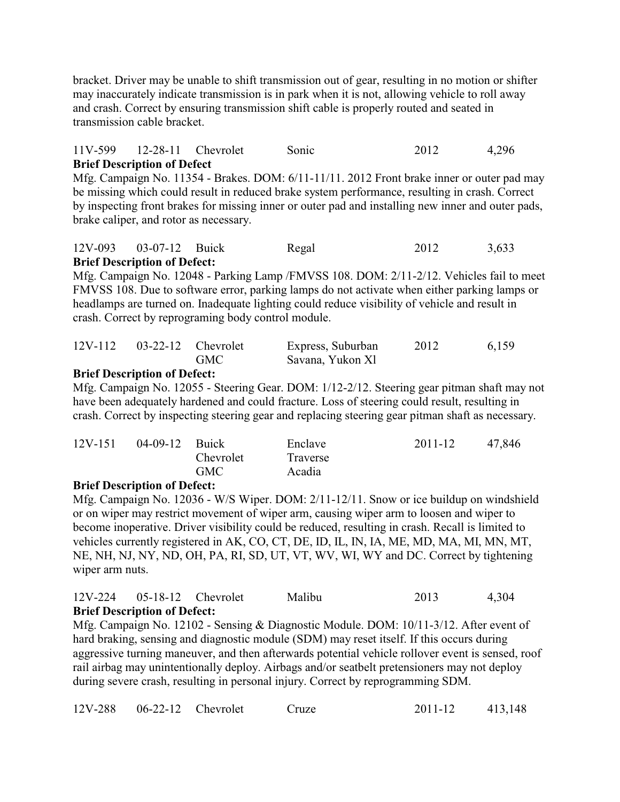bracket. Driver may be unable to shift transmission out of gear, resulting in no motion or shifter may inaccurately indicate transmission is in park when it is not, allowing vehicle to roll away and crash. Correct by ensuring transmission shift cable is properly routed and seated in transmission cable bracket.

### 11V-599 12-28-11 Chevrolet Sonic 2012 4,296 **Brief Description of Defect**

Mfg. Campaign No. 11354 - Brakes. DOM: 6/11-11/11. 2012 Front brake inner or outer pad may be missing which could result in reduced brake system performance, resulting in crash. Correct by inspecting front brakes for missing inner or outer pad and installing new inner and outer pads, brake caliper, and rotor as necessary.

#### 12V-093 03-07-12 Buick Regal 2012 3,633 **Brief Description of Defect:**

Mfg. Campaign No. 12048 - Parking Lamp /FMVSS 108. DOM: 2/11-2/12. Vehicles fail to meet FMVSS 108. Due to software error, parking lamps do not activate when either parking lamps or headlamps are turned on. Inadequate lighting could reduce visibility of vehicle and result in crash. Correct by reprograming body control module.

| 12V-112 03-22-12 Chevrolet |            | Express, Suburban | 2012 | 6,159 |
|----------------------------|------------|-------------------|------|-------|
|                            | <b>GMC</b> | Savana, Yukon Xl  |      |       |

## **Brief Description of Defect:**

Mfg. Campaign No. 12055 - Steering Gear. DOM: 1/12-2/12. Steering gear pitman shaft may not have been adequately hardened and could fracture. Loss of steering could result, resulting in crash. Correct by inspecting steering gear and replacing steering gear pitman shaft as necessary.

| $12V-151$ | 04-09-12 Buick |           | Enclave  | 2011-12 | 47,846 |
|-----------|----------------|-----------|----------|---------|--------|
|           |                | Chevrolet | Traverse |         |        |
|           |                | GMC.      | Acadia   |         |        |

#### **Brief Description of Defect:**

Mfg. Campaign No. 12036 - W/S Wiper. DOM: 2/11-12/11. Snow or ice buildup on windshield or on wiper may restrict movement of wiper arm, causing wiper arm to loosen and wiper to become inoperative. Driver visibility could be reduced, resulting in crash. Recall is limited to vehicles currently registered in AK, CO, CT, DE, ID, IL, IN, IA, ME, MD, MA, MI, MN, MT, NE, NH, NJ, NY, ND, OH, PA, RI, SD, UT, VT, WV, WI, WY and DC. Correct by tightening wiper arm nuts.

#### 12V-224 05-18-12 Chevrolet Malibu 2013 4,304 **Brief Description of Defect:**

Mfg. Campaign No. 12102 - Sensing & Diagnostic Module. DOM: 10/11-3/12. After event of hard braking, sensing and diagnostic module (SDM) may reset itself. If this occurs during aggressive turning maneuver, and then afterwards potential vehicle rollover event is sensed, roof rail airbag may unintentionally deploy. Airbags and/or seatbelt pretensioners may not deploy during severe crash, resulting in personal injury. Correct by reprogramming SDM.

|  | $12V-288$ 06-22-12 Chevrolet |  | Cruze | $2011 - 12$ | 413,148 |
|--|------------------------------|--|-------|-------------|---------|
|--|------------------------------|--|-------|-------------|---------|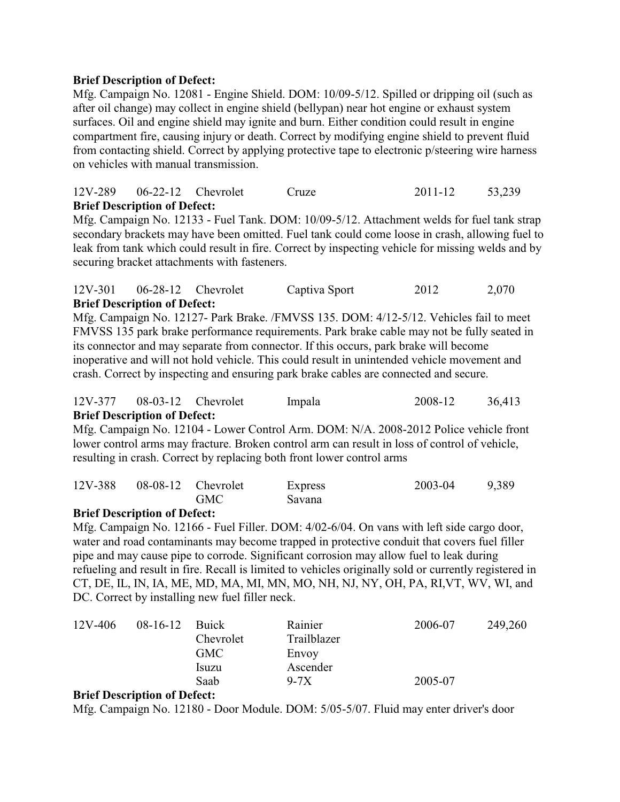Mfg. Campaign No. 12081 - Engine Shield. DOM: 10/09-5/12. Spilled or dripping oil (such as after oil change) may collect in engine shield (bellypan) near hot engine or exhaust system surfaces. Oil and engine shield may ignite and burn. Either condition could result in engine compartment fire, causing injury or death. Correct by modifying engine shield to prevent fluid from contacting shield. Correct by applying protective tape to electronic p/steering wire harness on vehicles with manual transmission.

### 12V-289 06-22-12 Chevrolet Cruze 2011-12 53,239 **Brief Description of Defect:**

Mfg. Campaign No. 12133 - Fuel Tank. DOM: 10/09-5/12. Attachment welds for fuel tank strap secondary brackets may have been omitted. Fuel tank could come loose in crash, allowing fuel to leak from tank which could result in fire. Correct by inspecting vehicle for missing welds and by securing bracket attachments with fasteners.

### 12V-301 06-28-12 Chevrolet Captiva Sport 2012 2,070 **Brief Description of Defect:**

Mfg. Campaign No. 12127- Park Brake. /FMVSS 135. DOM: 4/12-5/12. Vehicles fail to meet FMVSS 135 park brake performance requirements. Park brake cable may not be fully seated in its connector and may separate from connector. If this occurs, park brake will become inoperative and will not hold vehicle. This could result in unintended vehicle movement and crash. Correct by inspecting and ensuring park brake cables are connected and secure.

### 12V-377 08-03-12 Chevrolet Impala 2008-12 36,413 **Brief Description of Defect:**

Mfg. Campaign No. 12104 - Lower Control Arm. DOM: N/A. 2008-2012 Police vehicle front lower control arms may fracture. Broken control arm can result in loss of control of vehicle, resulting in crash. Correct by replacing both front lower control arms

| 12V-388 08-08-12 Chevrolet |            | Express | 2003-04 | 9,389 |
|----------------------------|------------|---------|---------|-------|
|                            | <b>GMC</b> | Savana  |         |       |

#### **Brief Description of Defect:**

Mfg. Campaign No. 12166 - Fuel Filler. DOM: 4/02-6/04. On vans with left side cargo door, water and road contaminants may become trapped in protective conduit that covers fuel filler pipe and may cause pipe to corrode. Significant corrosion may allow fuel to leak during refueling and result in fire. Recall is limited to vehicles originally sold or currently registered in CT, DE, IL, IN, IA, ME, MD, MA, MI, MN, MO, NH, NJ, NY, OH, PA, RI,VT, WV, WI, and DC. Correct by installing new fuel filler neck.

| 12V-406 | $08-16-12$ | <b>Buick</b><br>Chevrolet<br><b>GMC</b><br>Isuzu | Rainier<br>Trailblazer<br>Envoy<br>Ascender | 2006-07 | 249,260 |
|---------|------------|--------------------------------------------------|---------------------------------------------|---------|---------|
|         |            | Saab                                             | $9-7X$                                      | 2005-07 |         |

#### **Brief Description of Defect:**

Mfg. Campaign No. 12180 - Door Module. DOM: 5/05-5/07. Fluid may enter driver's door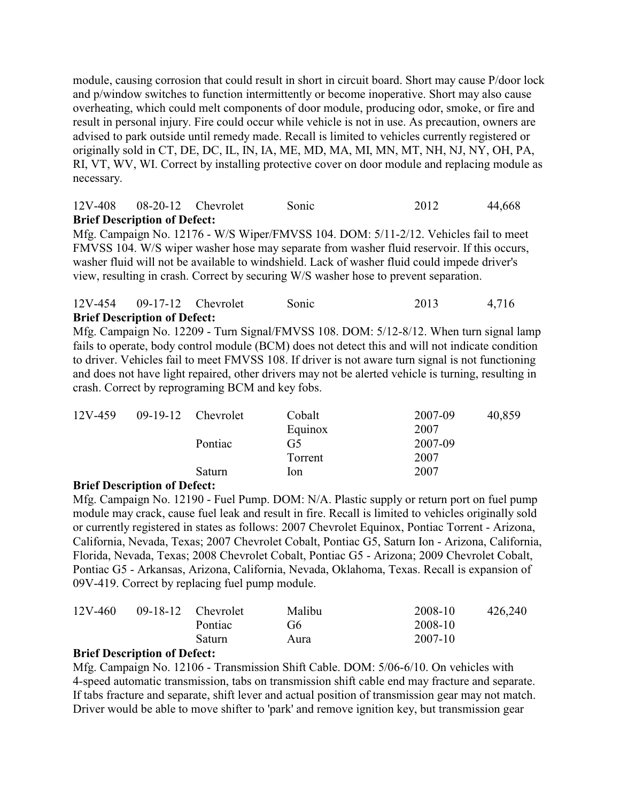module, causing corrosion that could result in short in circuit board. Short may cause P/door lock and p/window switches to function intermittently or become inoperative. Short may also cause overheating, which could melt components of door module, producing odor, smoke, or fire and result in personal injury. Fire could occur while vehicle is not in use. As precaution, owners are advised to park outside until remedy made. Recall is limited to vehicles currently registered or originally sold in CT, DE, DC, IL, IN, IA, ME, MD, MA, MI, MN, MT, NH, NJ, NY, OH, PA, RI, VT, WV, WI. Correct by installing protective cover on door module and replacing module as necessary.

# 12V-408 08-20-12 Chevrolet Sonic 2012 44,668 **Brief Description of Defect:**

Mfg. Campaign No. 12176 - W/S Wiper/FMVSS 104. DOM: 5/11-2/12. Vehicles fail to meet FMVSS 104. W/S wiper washer hose may separate from washer fluid reservoir. If this occurs, washer fluid will not be available to windshield. Lack of washer fluid could impede driver's view, resulting in crash. Correct by securing W/S washer hose to prevent separation.

#### 12V-454 09-17-12 Chevrolet Sonic 2013 4,716 **Brief Description of Defect:**

Mfg. Campaign No. 12209 - Turn Signal/FMVSS 108. DOM: 5/12-8/12. When turn signal lamp fails to operate, body control module (BCM) does not detect this and will not indicate condition to driver. Vehicles fail to meet FMVSS 108. If driver is not aware turn signal is not functioning and does not have light repaired, other drivers may not be alerted vehicle is turning, resulting in crash. Correct by reprograming BCM and key fobs.

| 12V-459 | $09-19-12$ Chevrolet | Cobalt         | 2007-09 | 40,859 |
|---------|----------------------|----------------|---------|--------|
|         |                      | Equinox        | 2007    |        |
|         | Pontiac              | G <sub>5</sub> | 2007-09 |        |
|         |                      | Torrent        | 2007    |        |
|         | Saturn               | lon            | 2007    |        |

#### **Brief Description of Defect:**

Mfg. Campaign No. 12190 - Fuel Pump. DOM: N/A. Plastic supply or return port on fuel pump module may crack, cause fuel leak and result in fire. Recall is limited to vehicles originally sold or currently registered in states as follows: 2007 Chevrolet Equinox, Pontiac Torrent - Arizona, California, Nevada, Texas; 2007 Chevrolet Cobalt, Pontiac G5, Saturn Ion - Arizona, California, Florida, Nevada, Texas; 2008 Chevrolet Cobalt, Pontiac G5 - Arizona; 2009 Chevrolet Cobalt, Pontiac G5 - Arkansas, Arizona, California, Nevada, Oklahoma, Texas. Recall is expansion of 09V-419. Correct by replacing fuel pump module.

| $12V - 460$ | $09-18-12$ Chevrolet | Malibu | 2008-10 | 426,240 |
|-------------|----------------------|--------|---------|---------|
|             | Pontiac              | G6     | 2008-10 |         |
|             | Saturn               | Aura   | 2007-10 |         |

#### **Brief Description of Defect:**

Mfg. Campaign No. 12106 - Transmission Shift Cable. DOM: 5/06-6/10. On vehicles with 4-speed automatic transmission, tabs on transmission shift cable end may fracture and separate. If tabs fracture and separate, shift lever and actual position of transmission gear may not match. Driver would be able to move shifter to 'park' and remove ignition key, but transmission gear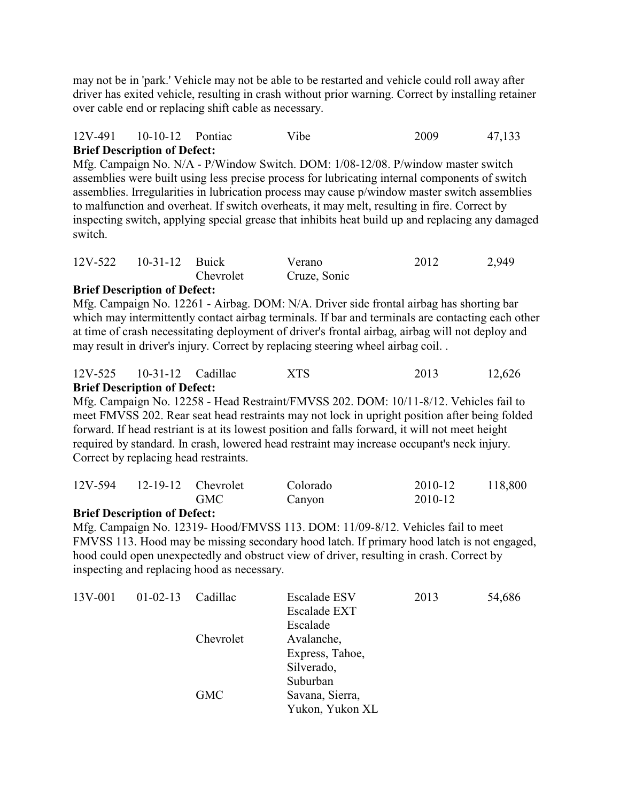may not be in 'park.' Vehicle may not be able to be restarted and vehicle could roll away after driver has exited vehicle, resulting in crash without prior warning. Correct by installing retainer over cable end or replacing shift cable as necessary.

### 12V-491 10-10-12 Pontiac Vibe 2009 47,133 **Brief Description of Defect:**

Mfg. Campaign No. N/A - P/Window Switch. DOM: 1/08-12/08. P/window master switch assemblies were built using less precise process for lubricating internal components of switch assemblies. Irregularities in lubrication process may cause p/window master switch assemblies to malfunction and overheat. If switch overheats, it may melt, resulting in fire. Correct by inspecting switch, applying special grease that inhibits heat build up and replacing any damaged switch.

| 12V-522 10-31-12 Buick |           | Verano       | 2012 | 2,949 |
|------------------------|-----------|--------------|------|-------|
|                        | Chevrolet | Cruze, Sonic |      |       |

### **Brief Description of Defect:**

Mfg. Campaign No. 12261 - Airbag. DOM: N/A. Driver side frontal airbag has shorting bar which may intermittently contact airbag terminals. If bar and terminals are contacting each other at time of crash necessitating deployment of driver's frontal airbag, airbag will not deploy and may result in driver's injury. Correct by replacing steering wheel airbag coil. .

| <b>Brief Description of Defect:</b> |     |      |        |
|-------------------------------------|-----|------|--------|
| $12V-525$ $10-31-12$ Cadillac       | XTS | 2013 | 12,626 |

Mfg. Campaign No. 12258 - Head Restraint/FMVSS 202. DOM: 10/11-8/12. Vehicles fail to meet FMVSS 202. Rear seat head restraints may not lock in upright position after being folded forward. If head restriant is at its lowest position and falls forward, it will not meet height required by standard. In crash, lowered head restraint may increase occupant's neck injury. Correct by replacing head restraints.

| 12V-594 12-19-12 Chevrolet |     | Colorado | 2010-12 | 118,800 |
|----------------------------|-----|----------|---------|---------|
|                            | GMC | Canyon   | 2010-12 |         |

#### **Brief Description of Defect:**

Mfg. Campaign No. 12319- Hood/FMVSS 113. DOM: 11/09-8/12. Vehicles fail to meet FMVSS 113. Hood may be missing secondary hood latch. If primary hood latch is not engaged, hood could open unexpectedly and obstruct view of driver, resulting in crash. Correct by inspecting and replacing hood as necessary.

| 13V-001 | $01 - 02 - 13$ | Cadillac   | <b>Escalade ESV</b><br><b>Escalade EXT</b> | 2013 | 54,686 |
|---------|----------------|------------|--------------------------------------------|------|--------|
|         |                |            | Escalade                                   |      |        |
|         |                | Chevrolet  | Avalanche,                                 |      |        |
|         |                |            | Express, Tahoe,                            |      |        |
|         |                |            | Silverado,                                 |      |        |
|         |                |            | Suburban                                   |      |        |
|         |                | <b>GMC</b> | Savana, Sierra,                            |      |        |
|         |                |            | Yukon, Yukon XL                            |      |        |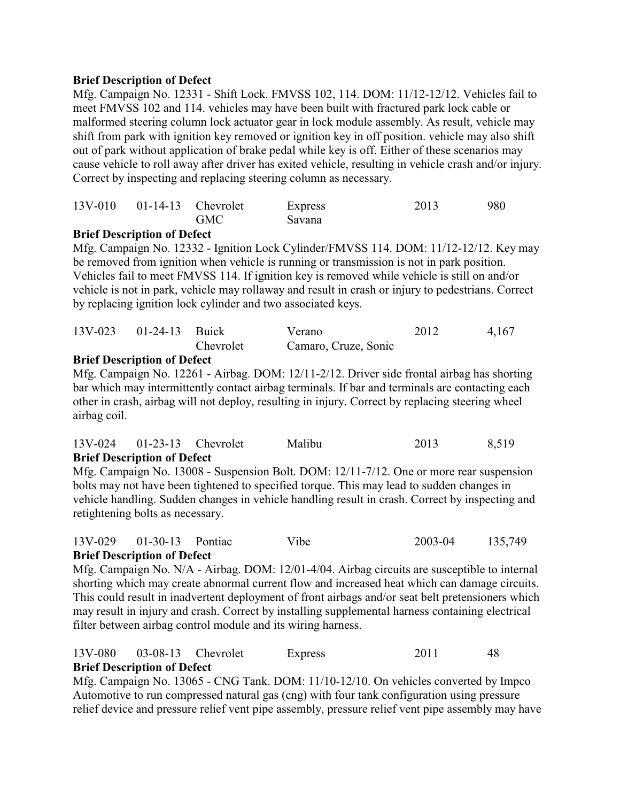Mfg. Campaign No. 12331 - Shift Lock. FMVSS 102, 114. DOM: 11/12-12/12. Vehicles fail to meet FMVSS 102 and 114. vehicles may have been built with fractured park lock cable or malformed steering column lock actuator gear in lock module assembly. As result, vehicle may shift from park with ignition key removed or ignition key in off position. vehicle may also shift out of park without application of brake pedal while key is off. Either of these scenarios may cause vehicle to roll away after driver has exited vehicle, resulting in vehicle crash and/or injury. Correct by inspecting and replacing steering column as necessary.

|  | $13V-010$ $01-14-13$ Chevrolet | Express | 2013 | 980 |
|--|--------------------------------|---------|------|-----|
|  | <b>GMC</b>                     | Savana  |      |     |

### **Brief Description of Defect**

Mfg. Campaign No. 12332 - Ignition Lock Cylinder/FMVSS 114. DOM: 11/12-12/12. Key may be removed from ignition when vehicle is running or transmission is not in park position. Vehicles fail to meet FMVSS 114. If ignition key is removed while vehicle is still on and/or vehicle is not in park, vehicle may rollaway and result in crash or injury to pedestrians. Correct by replacing ignition lock cylinder and two associated keys.

| 13V-023 01-24-13 Buick |           | Verano               | 2012 | 4,167 |
|------------------------|-----------|----------------------|------|-------|
|                        | Chevrolet | Camaro, Cruze, Sonic |      |       |

#### **Brief Description of Defect**

Mfg. Campaign No. 12261 - Airbag. DOM: 12/11-2/12. Driver side frontal airbag has shorting bar which may intermittently contact airbag terminals. If bar and terminals are contacting each other in crash, airbag will not deploy, resulting in injury. Correct by replacing steering wheel airbag coil.

| <b>Brief Description of Defect</b> |        |      |       |
|------------------------------------|--------|------|-------|
| 13V-024 01-23-13 Chevrolet         | Malibu | 2013 | 8,519 |

Mfg. Campaign No. 13008 - Suspension Bolt. DOM: 12/11-7/12. One or more rear suspension bolts may not have been tightened to specified torque. This may lead to sudden changes in vehicle handling. Sudden changes in vehicle handling result in crash. Correct by inspecting and retightening bolts as necessary.

#### 13V-029 01-30-13 Pontiac Vibe 2003-04 135,749 **Brief Description of Defect**

Mfg. Campaign No. N/A - Airbag. DOM: 12/01-4/04. Airbag circuits are susceptible to internal shorting which may create abnormal current flow and increased heat which can damage circuits. This could result in inadvertent deployment of front airbags and/or seat belt pretensioners which may result in injury and crash. Correct by installing supplemental harness containing electrical filter between airbag control module and its wiring harness.

#### 13V-080 03-08-13 Chevrolet Express 2011 48 **Brief Description of Defect**

Mfg. Campaign No. 13065 - CNG Tank. DOM: 11/10-12/10. On vehicles converted by Impco Automotive to run compressed natural gas (cng) with four tank configuration using pressure relief device and pressure relief vent pipe assembly, pressure relief vent pipe assembly may have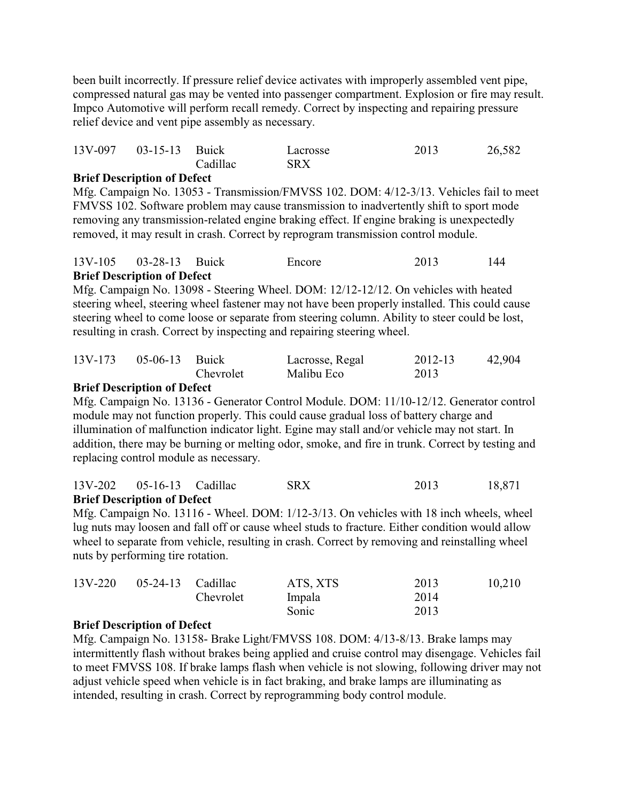been built incorrectly. If pressure relief device activates with improperly assembled vent pipe, compressed natural gas may be vented into passenger compartment. Explosion or fire may result. Impco Automotive will perform recall remedy. Correct by inspecting and repairing pressure relief device and vent pipe assembly as necessary.

| 13V-097 03-15-13 Buick |          | Lacrosse   | 2013 | 26,582 |
|------------------------|----------|------------|------|--------|
|                        | Cadillac | <b>SRX</b> |      |        |

### **Brief Description of Defect**

Mfg. Campaign No. 13053 - Transmission/FMVSS 102. DOM: 4/12-3/13. Vehicles fail to meet FMVSS 102. Software problem may cause transmission to inadvertently shift to sport mode removing any transmission-related engine braking effect. If engine braking is unexpectedly removed, it may result in crash. Correct by reprogram transmission control module.

| <b>Brief Description of Defect</b> |        |      |     |
|------------------------------------|--------|------|-----|
| 13V-105 03-28-13 Buick             | Encore | 2013 | 144 |

Mfg. Campaign No. 13098 - Steering Wheel. DOM: 12/12-12/12. On vehicles with heated steering wheel, steering wheel fastener may not have been properly installed. This could cause steering wheel to come loose or separate from steering column. Ability to steer could be lost, resulting in crash. Correct by inspecting and repairing steering wheel.

| 13V-173 | 05-06-13 Buick |           | Lacrosse, Regal | 2012-13 | 42,904 |
|---------|----------------|-----------|-----------------|---------|--------|
|         |                | Chevrolet | Malibu Eco      | 2013    |        |

### **Brief Description of Defect**

Mfg. Campaign No. 13136 - Generator Control Module. DOM: 11/10-12/12. Generator control module may not function properly. This could cause gradual loss of battery charge and illumination of malfunction indicator light. Egine may stall and/or vehicle may not start. In addition, there may be burning or melting odor, smoke, and fire in trunk. Correct by testing and replacing control module as necessary.

|                           | $\mathbf{D}^{n}$ of $\mathbf{D}^{n}$ computing $\mathbf{f} \mathbf{D}^{n}$ |            |      |        |
|---------------------------|----------------------------------------------------------------------------|------------|------|--------|
| 13V-202 05-16-13 Cadillac |                                                                            | <b>SRX</b> | 2013 | 18,871 |

#### **Brief Description of Defect**

Mfg. Campaign No. 13116 - Wheel. DOM: 1/12-3/13. On vehicles with 18 inch wheels, wheel lug nuts may loosen and fall off or cause wheel studs to fracture. Either condition would allow wheel to separate from vehicle, resulting in crash. Correct by removing and reinstalling wheel nuts by performing tire rotation.

| 13V-220 | $05-24-13$ Cadillac |           | ATS, XTS | 2013 | 10,210 |
|---------|---------------------|-----------|----------|------|--------|
|         |                     | Chevrolet | Impala   | 2014 |        |
|         |                     |           | Sonic    | 2013 |        |

#### **Brief Description of Defect**

Mfg. Campaign No. 13158- Brake Light/FMVSS 108. DOM: 4/13-8/13. Brake lamps may intermittently flash without brakes being applied and cruise control may disengage. Vehicles fail to meet FMVSS 108. If brake lamps flash when vehicle is not slowing, following driver may not adjust vehicle speed when vehicle is in fact braking, and brake lamps are illuminating as intended, resulting in crash. Correct by reprogramming body control module.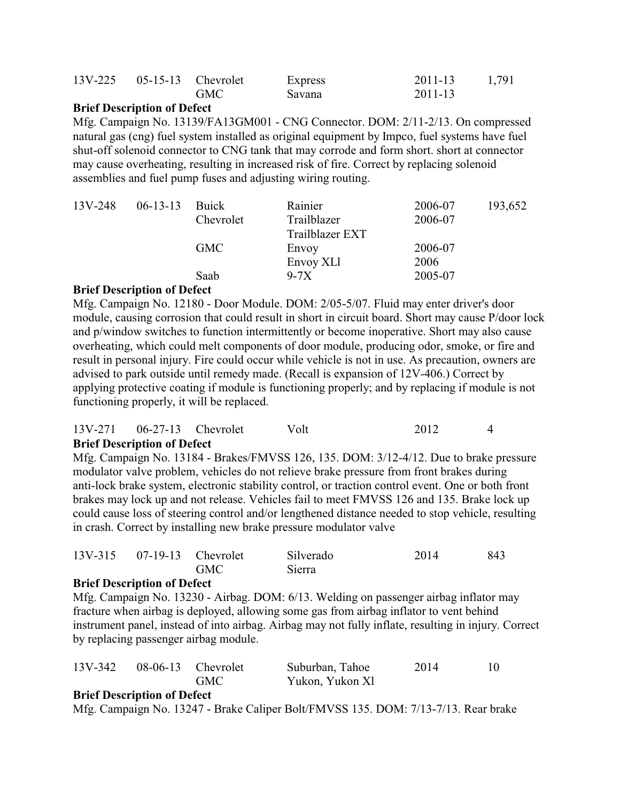| 13V-225 05-15-13 Chevrolet |            | Express | 2011-13 | 1,791 |
|----------------------------|------------|---------|---------|-------|
|                            | <b>GMC</b> | Savana  | 2011-13 |       |

Mfg. Campaign No. 13139/FA13GM001 - CNG Connector. DOM: 2/11-2/13. On compressed natural gas (cng) fuel system installed as original equipment by Impco, fuel systems have fuel shut-off solenoid connector to CNG tank that may corrode and form short. short at connector may cause overheating, resulting in increased risk of fire. Correct by replacing solenoid assemblies and fuel pump fuses and adjusting wiring routing.

| $13V - 248$ | $06-13-13$ Buick |            | Rainier         | 2006-07 | 193,652 |
|-------------|------------------|------------|-----------------|---------|---------|
|             |                  | Chevrolet  | Trailblazer     | 2006-07 |         |
|             |                  |            | Trailblazer EXT |         |         |
|             |                  | <b>GMC</b> | Envoy           | 2006-07 |         |
|             |                  |            | Envoy XLI       | 2006    |         |
|             |                  | Saab       | $9-7X$          | 2005-07 |         |
|             |                  |            |                 |         |         |

## **Brief Description of Defect**

Mfg. Campaign No. 12180 - Door Module. DOM: 2/05-5/07. Fluid may enter driver's door module, causing corrosion that could result in short in circuit board. Short may cause P/door lock and p/window switches to function intermittently or become inoperative. Short may also cause overheating, which could melt components of door module, producing odor, smoke, or fire and result in personal injury. Fire could occur while vehicle is not in use. As precaution, owners are advised to park outside until remedy made. (Recall is expansion of 12V-406.) Correct by applying protective coating if module is functioning properly; and by replacing if module is not functioning properly, it will be replaced.

#### 13V-271 06-27-13 Chevrolet Volt 2012 4 **Brief Description of Defect**

Mfg. Campaign No. 13184 - Brakes/FMVSS 126, 135. DOM: 3/12-4/12. Due to brake pressure modulator valve problem, vehicles do not relieve brake pressure from front brakes during anti-lock brake system, electronic stability control, or traction control event. One or both front brakes may lock up and not release. Vehicles fail to meet FMVSS 126 and 135. Brake lock up could cause loss of steering control and/or lengthened distance needed to stop vehicle, resulting in crash. Correct by installing new brake pressure modulator valve

| 13V-315 07-19-13 Chevrolet | Silverado | 2014 | 843 |
|----------------------------|-----------|------|-----|
| <b>GMC</b>                 | Sierra    |      |     |

## **Brief Description of Defect**

Mfg. Campaign No. 13230 - Airbag. DOM: 6/13. Welding on passenger airbag inflator may fracture when airbag is deployed, allowing some gas from airbag inflator to vent behind instrument panel, instead of into airbag. Airbag may not fully inflate, resulting in injury. Correct by replacing passenger airbag module.

| 13V-342 |                                                          | $08-06-13$ Chevrolet | Suburban, Tahoe | 2014 |  |
|---------|----------------------------------------------------------|----------------------|-----------------|------|--|
|         |                                                          | <b>GMC</b>           | Yukon, Yukon Xl |      |  |
|         | $\mathbf{n}$ is constant in the constant of $\mathbf{r}$ |                      |                 |      |  |

#### **Brief Description of Defect**

Mfg. Campaign No. 13247 - Brake Caliper Bolt/FMVSS 135. DOM: 7/13-7/13. Rear brake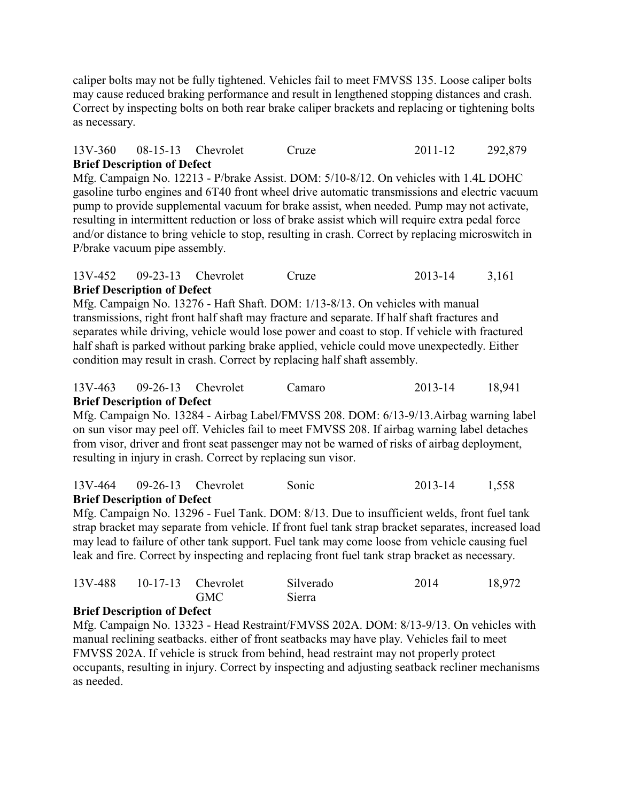caliper bolts may not be fully tightened. Vehicles fail to meet FMVSS 135. Loose caliper bolts may cause reduced braking performance and result in lengthened stopping distances and crash. Correct by inspecting bolts on both rear brake caliper brackets and replacing or tightening bolts as necessary.

## 13V-360 08-15-13 Chevrolet Cruze 2011-12 292,879 **Brief Description of Defect**

Mfg. Campaign No. 12213 - P/brake Assist. DOM: 5/10-8/12. On vehicles with 1.4L DOHC gasoline turbo engines and 6T40 front wheel drive automatic transmissions and electric vacuum pump to provide supplemental vacuum for brake assist, when needed. Pump may not activate, resulting in intermittent reduction or loss of brake assist which will require extra pedal force and/or distance to bring vehicle to stop, resulting in crash. Correct by replacing microswitch in P/brake vacuum pipe assembly.

### 13V-452 09-23-13 Chevrolet Cruze 2013-14 3,161 **Brief Description of Defect**

Mfg. Campaign No. 13276 - Haft Shaft. DOM: 1/13-8/13. On vehicles with manual transmissions, right front half shaft may fracture and separate. If half shaft fractures and separates while driving, vehicle would lose power and coast to stop. If vehicle with fractured half shaft is parked without parking brake applied, vehicle could move unexpectedly. Either condition may result in crash. Correct by replacing half shaft assembly.

#### 13V-463 09-26-13 Chevrolet Camaro 2013-14 18,941 **Brief Description of Defect**

Mfg. Campaign No. 13284 - Airbag Label/FMVSS 208. DOM: 6/13-9/13.Airbag warning label on sun visor may peel off. Vehicles fail to meet FMVSS 208. If airbag warning label detaches from visor, driver and front seat passenger may not be warned of risks of airbag deployment, resulting in injury in crash. Correct by replacing sun visor.

#### 13V-464 09-26-13 Chevrolet Sonic 2013-14 1,558 **Brief Description of Defect**

Mfg. Campaign No. 13296 - Fuel Tank. DOM: 8/13. Due to insufficient welds, front fuel tank strap bracket may separate from vehicle. If front fuel tank strap bracket separates, increased load may lead to failure of other tank support. Fuel tank may come loose from vehicle causing fuel leak and fire. Correct by inspecting and replacing front fuel tank strap bracket as necessary.

| 13V-488 10-17-13 Chevrolet |            | Silverado | 2014 | 18,972 |
|----------------------------|------------|-----------|------|--------|
|                            | <b>GMC</b> | Sierra    |      |        |

## **Brief Description of Defect**

Mfg. Campaign No. 13323 - Head Restraint/FMVSS 202A. DOM: 8/13-9/13. On vehicles with manual reclining seatbacks. either of front seatbacks may have play. Vehicles fail to meet FMVSS 202A. If vehicle is struck from behind, head restraint may not properly protect occupants, resulting in injury. Correct by inspecting and adjusting seatback recliner mechanisms as needed.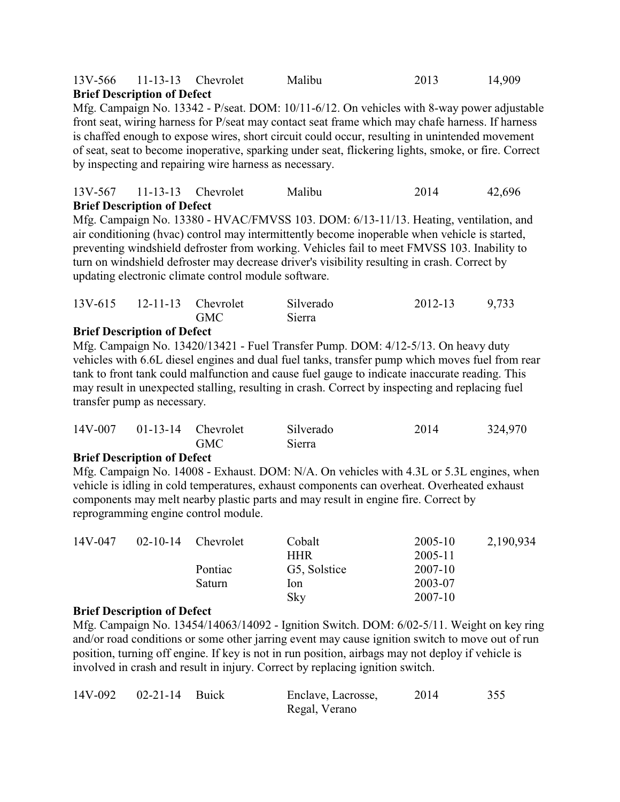### 13V-566 11-13-13 Chevrolet Malibu 2013 14,909 **Brief Description of Defect**

Mfg. Campaign No. 13342 - P/seat. DOM: 10/11-6/12. On vehicles with 8-way power adjustable front seat, wiring harness for P/seat may contact seat frame which may chafe harness. If harness is chaffed enough to expose wires, short circuit could occur, resulting in unintended movement of seat, seat to become inoperative, sparking under seat, flickering lights, smoke, or fire. Correct by inspecting and repairing wire harness as necessary.

#### 13V-567 11-13-13 Chevrolet Malibu 2014 42,696 **Brief Description of Defect**

Mfg. Campaign No. 13380 - HVAC/FMVSS 103. DOM: 6/13-11/13. Heating, ventilation, and air conditioning (hvac) control may intermittently become inoperable when vehicle is started, preventing windshield defroster from working. Vehicles fail to meet FMVSS 103. Inability to turn on windshield defroster may decrease driver's visibility resulting in crash. Correct by updating electronic climate control module software.

| <b>GMC</b><br>Sierra |  | $13V-615$ $12-11-13$ Chevrolet | Silverado | 2012-13 | 9,733 |
|----------------------|--|--------------------------------|-----------|---------|-------|
|                      |  |                                |           |         |       |

### **Brief Description of Defect**

Mfg. Campaign No. 13420/13421 - Fuel Transfer Pump. DOM: 4/12-5/13. On heavy duty vehicles with 6.6L diesel engines and dual fuel tanks, transfer pump which moves fuel from rear tank to front tank could malfunction and cause fuel gauge to indicate inaccurate reading. This may result in unexpected stalling, resulting in crash. Correct by inspecting and replacing fuel transfer pump as necessary.

| $14V-007$ 01-13-14 Chevrolet |            | Silverado | 2014 | 324,970 |
|------------------------------|------------|-----------|------|---------|
|                              | <b>GMC</b> | Sierra    |      |         |

#### **Brief Description of Defect**

Mfg. Campaign No. 14008 - Exhaust. DOM: N/A. On vehicles with 4.3L or 5.3L engines, when vehicle is idling in cold temperatures, exhaust components can overheat. Overheated exhaust components may melt nearby plastic parts and may result in engine fire. Correct by reprogramming engine control module.

| 14V-047 |  | $02-10-14$ Chevrolet | Cobalt       | 2005-10 | 2,190,934 |  |
|---------|--|----------------------|--------------|---------|-----------|--|
|         |  |                      | <b>HHR</b>   | 2005-11 |           |  |
|         |  | Pontiac              | G5, Solstice | 2007-10 |           |  |
|         |  | Saturn               | lon          | 2003-07 |           |  |
|         |  |                      | Sky          | 2007-10 |           |  |

#### **Brief Description of Defect**

Mfg. Campaign No. 13454/14063/14092 - Ignition Switch. DOM: 6/02-5/11. Weight on key ring and/or road conditions or some other jarring event may cause ignition switch to move out of run position, turning off engine. If key is not in run position, airbags may not deploy if vehicle is involved in crash and result in injury. Correct by replacing ignition switch.

| 14V-092 02-21-14 Buick | Enclave, Lacrosse, | 2014 | 355 |
|------------------------|--------------------|------|-----|
|                        | Regal, Verano      |      |     |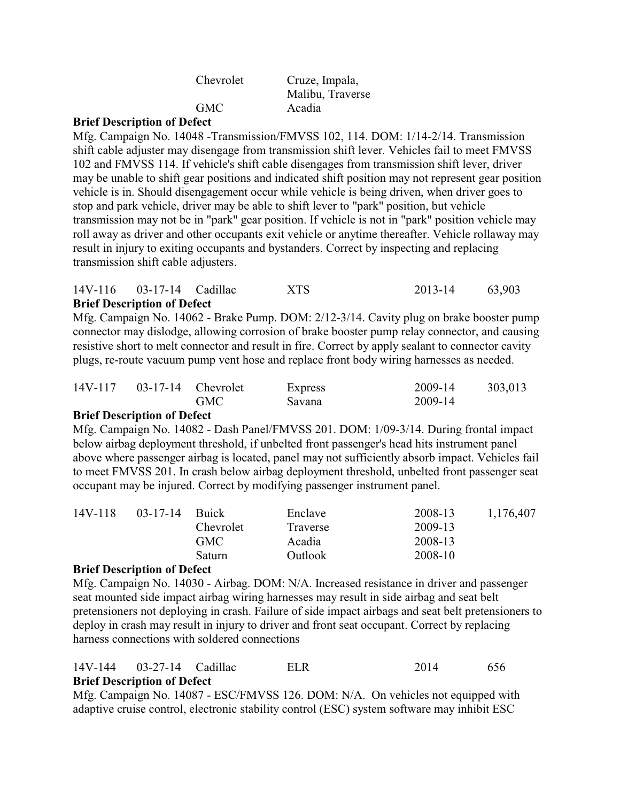| Chevrolet    | Cruze, Impala,   |
|--------------|------------------|
|              | Malibu, Traverse |
| <b>GMC</b>   | Acadia           |
| $\mathbf{r}$ |                  |

Mfg. Campaign No. 14048 -Transmission/FMVSS 102, 114. DOM: 1/14-2/14. Transmission shift cable adjuster may disengage from transmission shift lever. Vehicles fail to meet FMVSS 102 and FMVSS 114. If vehicle's shift cable disengages from transmission shift lever, driver may be unable to shift gear positions and indicated shift position may not represent gear position vehicle is in. Should disengagement occur while vehicle is being driven, when driver goes to stop and park vehicle, driver may be able to shift lever to "park" position, but vehicle transmission may not be in "park" gear position. If vehicle is not in "park" position vehicle may roll away as driver and other occupants exit vehicle or anytime thereafter. Vehicle rollaway may result in injury to exiting occupants and bystanders. Correct by inspecting and replacing transmission shift cable adjusters.

#### 14V-116 03-17-14 Cadillac XTS 2013-14 63,903 **Brief Description of Defect**

Mfg. Campaign No. 14062 - Brake Pump. DOM: 2/12-3/14. Cavity plug on brake booster pump connector may dislodge, allowing corrosion of brake booster pump relay connector, and causing resistive short to melt connector and result in fire. Correct by apply sealant to connector cavity plugs, re-route vacuum pump vent hose and replace front body wiring harnesses as needed.

| 14V-117 | $03-17-14$ Chevrolet |            | Express | 2009-14 | 303,013 |
|---------|----------------------|------------|---------|---------|---------|
|         |                      | <b>GMC</b> | Savana  | 2009-14 |         |

#### **Brief Description of Defect**

Mfg. Campaign No. 14082 - Dash Panel/FMVSS 201. DOM: 1/09-3/14. During frontal impact below airbag deployment threshold, if unbelted front passenger's head hits instrument panel above where passenger airbag is located, panel may not sufficiently absorb impact. Vehicles fail to meet FMVSS 201. In crash below airbag deployment threshold, unbelted front passenger seat occupant may be injured. Correct by modifying passenger instrument panel.

| 14V-118 | 03-17-14 | <b>Buick</b> | Enclave        | 2008-13 | 1,176,407 |
|---------|----------|--------------|----------------|---------|-----------|
|         |          | Chevrolet    | Traverse       | 2009-13 |           |
|         |          | GMC.         | Acadia         | 2008-13 |           |
|         |          | Saturn       | <b>Outlook</b> | 2008-10 |           |

#### **Brief Description of Defect**

Mfg. Campaign No. 14030 - Airbag. DOM: N/A. Increased resistance in driver and passenger seat mounted side impact airbag wiring harnesses may result in side airbag and seat belt pretensioners not deploying in crash. Failure of side impact airbags and seat belt pretensioners to deploy in crash may result in injury to driver and front seat occupant. Correct by replacing harness connections with soldered connections

#### 14V-144 03-27-14 Cadillac ELR 2014 656 **Brief Description of Defect**

Mfg. Campaign No. 14087 - ESC/FMVSS 126. DOM: N/A. On vehicles not equipped with adaptive cruise control, electronic stability control (ESC) system software may inhibit ESC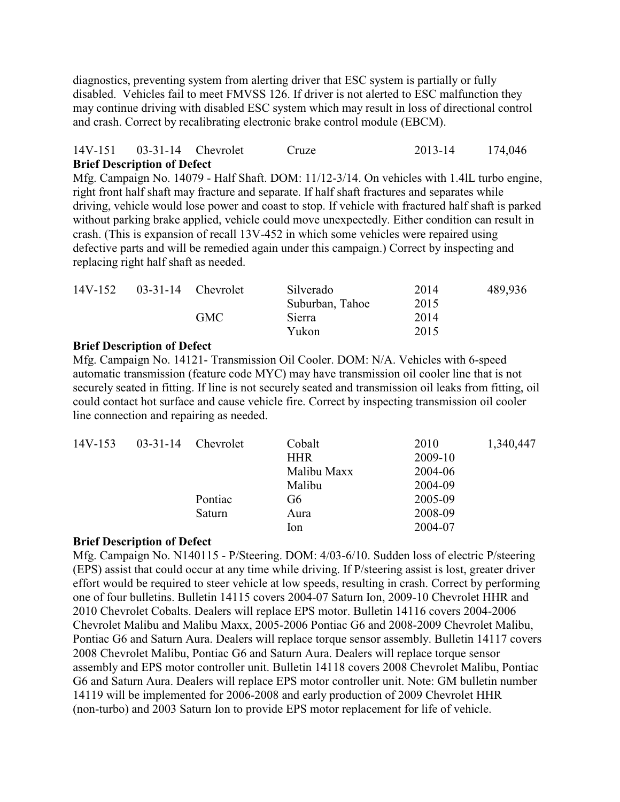diagnostics, preventing system from alerting driver that ESC system is partially or fully disabled. Vehicles fail to meet FMVSS 126. If driver is not alerted to ESC malfunction they may continue driving with disabled ESC system which may result in loss of directional control and crash. Correct by recalibrating electronic brake control module (EBCM).

### 14V-151 03-31-14 Chevrolet Cruze 2013-14 174,046 **Brief Description of Defect**

Mfg. Campaign No. 14079 - Half Shaft. DOM: 11/12-3/14. On vehicles with 1.4lL turbo engine, right front half shaft may fracture and separate. If half shaft fractures and separates while driving, vehicle would lose power and coast to stop. If vehicle with fractured half shaft is parked without parking brake applied, vehicle could move unexpectedly. Either condition can result in crash. (This is expansion of recall 13V-452 in which some vehicles were repaired using defective parts and will be remedied again under this campaign.) Correct by inspecting and replacing right half shaft as needed.

| 14V-152 | $03-31-14$ Chevrolet | Silverado       | 2014 | 489,936 |
|---------|----------------------|-----------------|------|---------|
|         |                      | Suburban, Tahoe | 2015 |         |
|         | GMC                  | Sierra          | 2014 |         |
|         |                      | Yukon           | 2015 |         |

#### **Brief Description of Defect**

Mfg. Campaign No. 14121- Transmission Oil Cooler. DOM: N/A. Vehicles with 6-speed automatic transmission (feature code MYC) may have transmission oil cooler line that is not securely seated in fitting. If line is not securely seated and transmission oil leaks from fitting, oil could contact hot surface and cause vehicle fire. Correct by inspecting transmission oil cooler line connection and repairing as needed.

| $14V-153$ | $03 - 31 - 14$ | Chevrolet   | Cobalt  | 2010    | 1,340,447 |
|-----------|----------------|-------------|---------|---------|-----------|
|           |                | <b>HHR</b>  | 2009-10 |         |           |
|           |                | Malibu Maxx | 2004-06 |         |           |
|           |                | Malibu      | 2004-09 |         |           |
|           | Pontiac        | G6          | 2005-09 |         |           |
|           | Saturn         | Aura        | 2008-09 |         |           |
|           |                |             | lon     | 2004-07 |           |

#### **Brief Description of Defect**

Mfg. Campaign No. N140115 - P/Steering. DOM: 4/03-6/10. Sudden loss of electric P/steering (EPS) assist that could occur at any time while driving. If P/steering assist is lost, greater driver effort would be required to steer vehicle at low speeds, resulting in crash. Correct by performing one of four bulletins. Bulletin 14115 covers 2004-07 Saturn Ion, 2009-10 Chevrolet HHR and 2010 Chevrolet Cobalts. Dealers will replace EPS motor. Bulletin 14116 covers 2004-2006 Chevrolet Malibu and Malibu Maxx, 2005-2006 Pontiac G6 and 2008-2009 Chevrolet Malibu, Pontiac G6 and Saturn Aura. Dealers will replace torque sensor assembly. Bulletin 14117 covers 2008 Chevrolet Malibu, Pontiac G6 and Saturn Aura. Dealers will replace torque sensor assembly and EPS motor controller unit. Bulletin 14118 covers 2008 Chevrolet Malibu, Pontiac G6 and Saturn Aura. Dealers will replace EPS motor controller unit. Note: GM bulletin number 14119 will be implemented for 2006-2008 and early production of 2009 Chevrolet HHR (non-turbo) and 2003 Saturn Ion to provide EPS motor replacement for life of vehicle.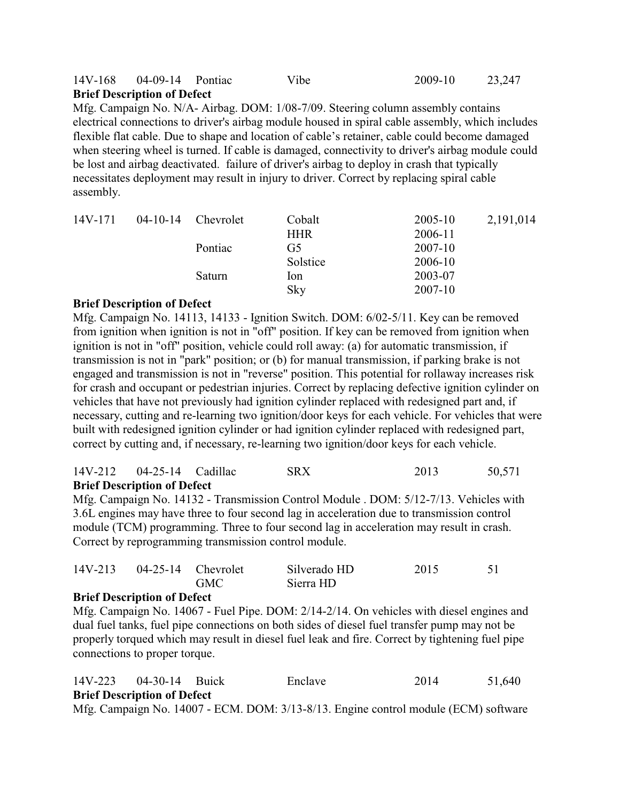#### 14V-168 04-09-14 Pontiac Vibe 2009-10 23,247 **Brief Description of Defect**

Mfg. Campaign No. N/A- Airbag. DOM: 1/08-7/09. Steering column assembly contains electrical connections to driver's airbag module housed in spiral cable assembly, which includes flexible flat cable. Due to shape and location of cable's retainer, cable could become damaged when steering wheel is turned. If cable is damaged, connectivity to driver's airbag module could be lost and airbag deactivated. failure of driver's airbag to deploy in crash that typically necessitates deployment may result in injury to driver. Correct by replacing spiral cable assembly.

| 14V-171 | 04-10-14 | <b>Chevrolet</b> | Cobalt  | 2005-10 | 2,191,014 |
|---------|----------|------------------|---------|---------|-----------|
|         |          | <b>HHR</b>       | 2006-11 |         |           |
|         | Pontiac  | G <sub>5</sub>   | 2007-10 |         |           |
|         |          | Solstice         | 2006-10 |         |           |
|         |          | Saturn           | lon     | 2003-07 |           |
|         |          | Sky              | 2007-10 |         |           |

#### **Brief Description of Defect**

Mfg. Campaign No. 14113, 14133 - Ignition Switch. DOM: 6/02-5/11. Key can be removed from ignition when ignition is not in "off" position. If key can be removed from ignition when ignition is not in "off" position, vehicle could roll away: (a) for automatic transmission, if transmission is not in "park" position; or (b) for manual transmission, if parking brake is not engaged and transmission is not in "reverse" position. This potential for rollaway increases risk for crash and occupant or pedestrian injuries. Correct by replacing defective ignition cylinder on vehicles that have not previously had ignition cylinder replaced with redesigned part and, if necessary, cutting and re-learning two ignition/door keys for each vehicle. For vehicles that were built with redesigned ignition cylinder or had ignition cylinder replaced with redesigned part, correct by cutting and, if necessary, re-learning two ignition/door keys for each vehicle.

#### 14V-212 04-25-14 Cadillac SRX 2013 50,571 **Brief Description of Defect**

Mfg. Campaign No. 14132 - Transmission Control Module . DOM: 5/12-7/13. Vehicles with 3.6L engines may have three to four second lag in acceleration due to transmission control module (TCM) programming. Three to four second lag in acceleration may result in crash. Correct by reprogramming transmission control module.

| 14V-213 | $04-25-14$ Chevrolet |            | Silverado HD | 2015 |  |
|---------|----------------------|------------|--------------|------|--|
|         |                      | <b>GMC</b> | Sierra HD    |      |  |

#### **Brief Description of Defect**

Mfg. Campaign No. 14067 - Fuel Pipe. DOM: 2/14-2/14. On vehicles with diesel engines and dual fuel tanks, fuel pipe connections on both sides of diesel fuel transfer pump may not be properly torqued which may result in diesel fuel leak and fire. Correct by tightening fuel pipe connections to proper torque.

|       | 14V-223 04-30-14 Buick             |  |  |                | Enclave |  |  | 2014 |                             | 51,640 |
|-------|------------------------------------|--|--|----------------|---------|--|--|------|-----------------------------|--------|
|       | <b>Brief Description of Defect</b> |  |  |                |         |  |  |      |                             |        |
| $  -$ |                                    |  |  | $\blacksquare$ |         |  |  |      | $\sim$ $\sim$ $\sim$ $\sim$ |        |

Mfg. Campaign No. 14007 - ECM. DOM: 3/13-8/13. Engine control module (ECM) software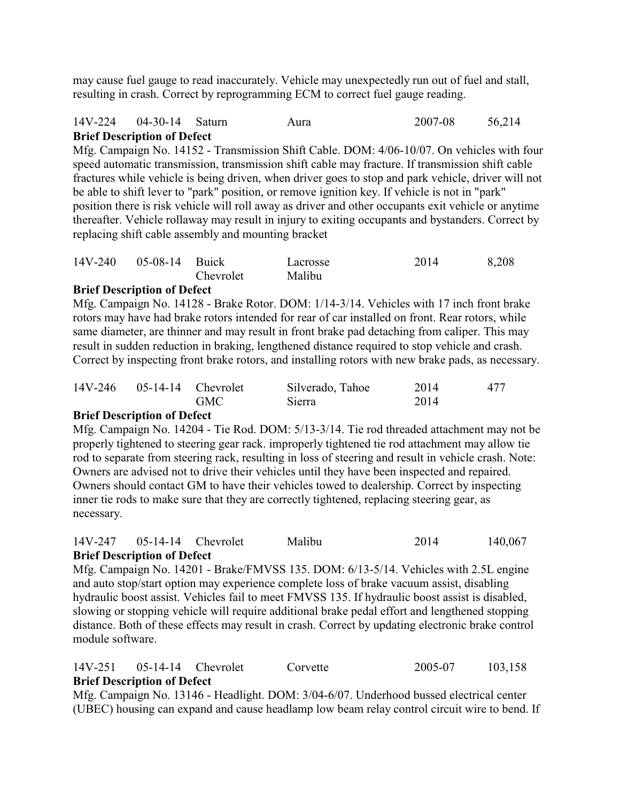may cause fuel gauge to read inaccurately. Vehicle may unexpectedly run out of fuel and stall, resulting in crash. Correct by reprogramming ECM to correct fuel gauge reading.

### 14V-224 04-30-14 Saturn Aura 2007-08 56,214 **Brief Description of Defect**

Mfg. Campaign No. 14152 - Transmission Shift Cable. DOM: 4/06-10/07. On vehicles with four speed automatic transmission, transmission shift cable may fracture. If transmission shift cable fractures while vehicle is being driven, when driver goes to stop and park vehicle, driver will not be able to shift lever to "park" position, or remove ignition key. If vehicle is not in "park" position there is risk vehicle will roll away as driver and other occupants exit vehicle or anytime thereafter. Vehicle rollaway may result in injury to exiting occupants and bystanders. Correct by replacing shift cable assembly and mounting bracket

| 14V-240 05-08-14 Buick |           | Lacrosse | 2014 | 8,208 |
|------------------------|-----------|----------|------|-------|
|                        | Chevrolet | Malibu   |      |       |

### **Brief Description of Defect**

Mfg. Campaign No. 14128 - Brake Rotor. DOM: 1/14-3/14. Vehicles with 17 inch front brake rotors may have had brake rotors intended for rear of car installed on front. Rear rotors, while same diameter, are thinner and may result in front brake pad detaching from caliper. This may result in sudden reduction in braking, lengthened distance required to stop vehicle and crash. Correct by inspecting front brake rotors, and installing rotors with new brake pads, as necessary.

| $14V-246$ 05-14-14 Chevrolet |            | Silverado, Tahoe | 2014 | 477 |
|------------------------------|------------|------------------|------|-----|
|                              | <b>GMC</b> | Sierra           | 2014 |     |

#### **Brief Description of Defect**

Mfg. Campaign No. 14204 - Tie Rod. DOM: 5/13-3/14. Tie rod threaded attachment may not be properly tightened to steering gear rack. improperly tightened tie rod attachment may allow tie rod to separate from steering rack, resulting in loss of steering and result in vehicle crash. Note: Owners are advised not to drive their vehicles until they have been inspected and repaired. Owners should contact GM to have their vehicles towed to dealership. Correct by inspecting inner tie rods to make sure that they are correctly tightened, replacing steering gear, as necessary.

#### 14V-247 05-14-14 Chevrolet Malibu 2014 140,067 **Brief Description of Defect**

Mfg. Campaign No. 14201 - Brake/FMVSS 135. DOM: 6/13-5/14. Vehicles with 2.5L engine and auto stop/start option may experience complete loss of brake vacuum assist, disabling hydraulic boost assist. Vehicles fail to meet FMVSS 135. If hydraulic boost assist is disabled, slowing or stopping vehicle will require additional brake pedal effort and lengthened stopping distance. Both of these effects may result in crash. Correct by updating electronic brake control module software.

## 14V-251 05-14-14 Chevrolet Corvette 2005-07 103,158 **Brief Description of Defect**

Mfg. Campaign No. 13146 - Headlight. DOM: 3/04-6/07. Underhood bussed electrical center (UBEC) housing can expand and cause headlamp low beam relay control circuit wire to bend. If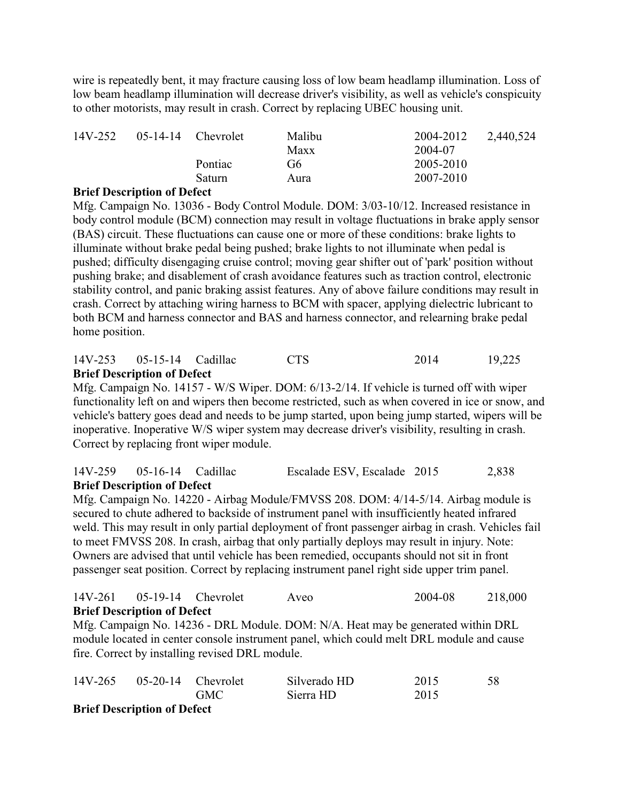wire is repeatedly bent, it may fracture causing loss of low beam headlamp illumination. Loss of low beam headlamp illumination will decrease driver's visibility, as well as vehicle's conspicuity to other motorists, may result in crash. Correct by replacing UBEC housing unit.

| 14V-252                     |                 | $05-14-14$ Chevrolet                   | Malibu | 2004-2012 | 2,440,524 |
|-----------------------------|-----------------|----------------------------------------|--------|-----------|-----------|
|                             |                 |                                        | Maxx   | 2004-07   |           |
|                             |                 | Pontiac                                | G6     | 2005-2010 |           |
|                             |                 | Saturn                                 | Aura   | 2007-2010 |           |
| $\mathbf{m}$ . $\mathbf{m}$ | $\cdot$ $\cdot$ | $\mathbf{r}$ $\mathbf{r}$ $\mathbf{r}$ |        |           |           |

## **Brief Description of Defect**

Mfg. Campaign No. 13036 - Body Control Module. DOM: 3/03-10/12. Increased resistance in body control module (BCM) connection may result in voltage fluctuations in brake apply sensor (BAS) circuit. These fluctuations can cause one or more of these conditions: brake lights to illuminate without brake pedal being pushed; brake lights to not illuminate when pedal is pushed; difficulty disengaging cruise control; moving gear shifter out of 'park' position without pushing brake; and disablement of crash avoidance features such as traction control, electronic stability control, and panic braking assist features. Any of above failure conditions may result in crash. Correct by attaching wiring harness to BCM with spacer, applying dielectric lubricant to both BCM and harness connector and BAS and harness connector, and relearning brake pedal home position.

### 14V-253 05-15-14 Cadillac CTS 2014 19,225 **Brief Description of Defect**

Mfg. Campaign No. 14157 - W/S Wiper. DOM: 6/13-2/14. If vehicle is turned off with wiper functionality left on and wipers then become restricted, such as when covered in ice or snow, and vehicle's battery goes dead and needs to be jump started, upon being jump started, wipers will be inoperative. Inoperative W/S wiper system may decrease driver's visibility, resulting in crash. Correct by replacing front wiper module.

## 14V-259 05-16-14 Cadillac Escalade ESV, Escalade 2015 2,838 **Brief Description of Defect**

Mfg. Campaign No. 14220 - Airbag Module/FMVSS 208. DOM: 4/14-5/14. Airbag module is secured to chute adhered to backside of instrument panel with insufficiently heated infrared weld. This may result in only partial deployment of front passenger airbag in crash. Vehicles fail to meet FMVSS 208. In crash, airbag that only partially deploys may result in injury. Note: Owners are advised that until vehicle has been remedied, occupants should not sit in front passenger seat position. Correct by replacing instrument panel right side upper trim panel.

#### 14V-261 05-19-14 Chevrolet Aveo 2004-08 218,000 **Brief Description of Defect**

Mfg. Campaign No. 14236 - DRL Module. DOM: N/A. Heat may be generated within DRL module located in center console instrument panel, which could melt DRL module and cause fire. Correct by installing revised DRL module.

| 14V-265 05-20-14 Chevrolet      |            | Silverado HD | 2015 | 58 |
|---------------------------------|------------|--------------|------|----|
|                                 | <b>GMC</b> | Sierra HD    | 2015 |    |
| <b>Driof December of Defect</b> |            |              |      |    |

#### **Brief Description of Defect**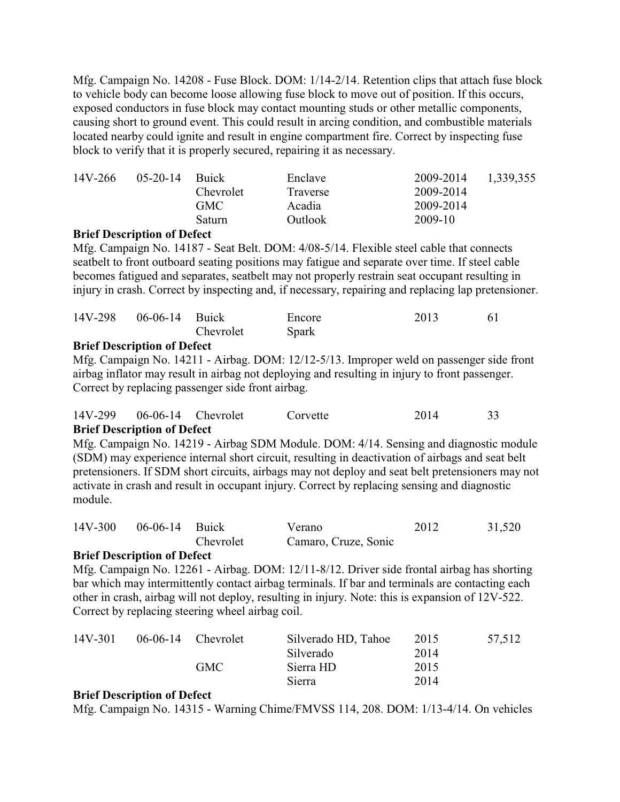Mfg. Campaign No. 14208 - Fuse Block. DOM: 1/14-2/14. Retention clips that attach fuse block to vehicle body can become loose allowing fuse block to move out of position. If this occurs, exposed conductors in fuse block may contact mounting studs or other metallic components, causing short to ground event. This could result in arcing condition, and combustible materials located nearby could ignite and result in engine compartment fire. Correct by inspecting fuse block to verify that it is properly secured, repairing it as necessary.

| 14V-266 | $0.5 - 20 - 14$ | <b>Buick</b> | Enclave  | 2009-2014 | 1,339,355 |
|---------|-----------------|--------------|----------|-----------|-----------|
|         |                 | Chevrolet    | Traverse | 2009-2014 |           |
|         |                 | GMC -        | Acadia   | 2009-2014 |           |
|         |                 | Saturn.      | Outlook  | 2009-10   |           |

#### **Brief Description of Defect**

Mfg. Campaign No. 14187 - Seat Belt. DOM: 4/08-5/14. Flexible steel cable that connects seatbelt to front outboard seating positions may fatigue and separate over time. If steel cable becomes fatigued and separates, seatbelt may not properly restrain seat occupant resulting in injury in crash. Correct by inspecting and, if necessary, repairing and replacing lap pretensioner.

| 14V-298 | 06-06-14 Buick |           | Encore       | 2013 |  |
|---------|----------------|-----------|--------------|------|--|
|         |                | Chevrolet | <b>Spark</b> |      |  |

#### **Brief Description of Defect**

Mfg. Campaign No. 14211 - Airbag. DOM: 12/12-5/13. Improper weld on passenger side front airbag inflator may result in airbag not deploying and resulting in injury to front passenger. Correct by replacing passenger side front airbag.

| $\mathbf{D}^{(1)}$ of $\mathbf{D}^{(2)}$ and $\mathbf{D}^{(1)}$ and $\mathbf{D}^{(2)}$ |  |          |      |  |
|----------------------------------------------------------------------------------------|--|----------|------|--|
| 14V-299 06-06-14 Chevrolet                                                             |  | Corvette | 2014 |  |

#### **Brief Description of Defect**

Mfg. Campaign No. 14219 - Airbag SDM Module. DOM: 4/14. Sensing and diagnostic module (SDM) may experience internal short circuit, resulting in deactivation of airbags and seat belt pretensioners. If SDM short circuits, airbags may not deploy and seat belt pretensioners may not activate in crash and result in occupant injury. Correct by replacing sensing and diagnostic module.

| $14V-300$ | $06-06-14$ Buick |           | Verano               | 2012 | 31,520 |
|-----------|------------------|-----------|----------------------|------|--------|
|           |                  | Chevrolet | Camaro, Cruze, Sonic |      |        |

### **Brief Description of Defect**

Mfg. Campaign No. 12261 - Airbag. DOM: 12/11-8/12. Driver side frontal airbag has shorting bar which may intermittently contact airbag terminals. If bar and terminals are contacting each other in crash, airbag will not deploy, resulting in injury. Note: this is expansion of 12V-522. Correct by replacing steering wheel airbag coil.

| 14V-301 | $06-06-14$ Chevrolet | Silverado HD, Tahoe | 2015 | 57,512 |
|---------|----------------------|---------------------|------|--------|
|         |                      | Silverado           | 2014 |        |
|         | <b>GMC</b>           | Sierra HD           | 2015 |        |
|         |                      | Sierra              | 2014 |        |

#### **Brief Description of Defect**

Mfg. Campaign No. 14315 - Warning Chime/FMVSS 114, 208. DOM: 1/13-4/14. On vehicles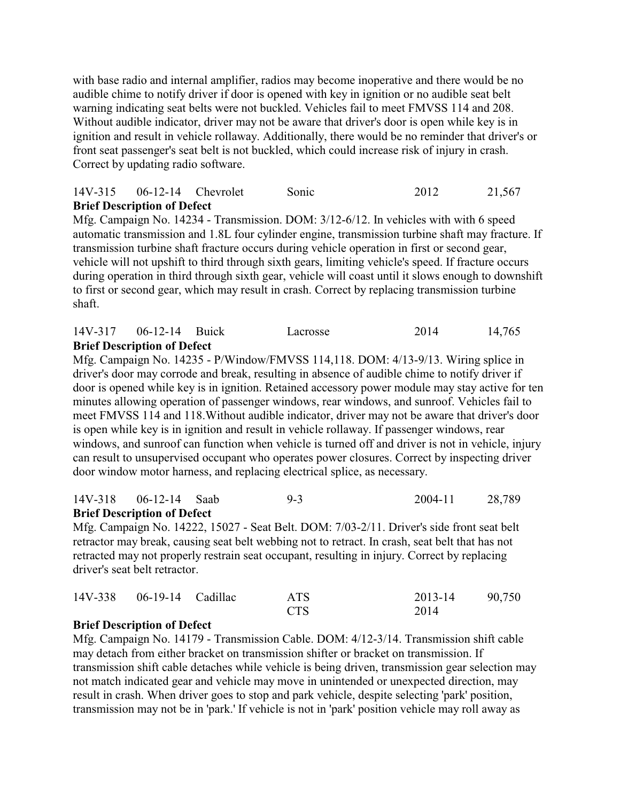with base radio and internal amplifier, radios may become inoperative and there would be no audible chime to notify driver if door is opened with key in ignition or no audible seat belt warning indicating seat belts were not buckled. Vehicles fail to meet FMVSS 114 and 208. Without audible indicator, driver may not be aware that driver's door is open while key is in ignition and result in vehicle rollaway. Additionally, there would be no reminder that driver's or front seat passenger's seat belt is not buckled, which could increase risk of injury in crash. Correct by updating radio software.

#### 14V-315 06-12-14 Chevrolet Sonic 2012 21,567 **Brief Description of Defect**

Mfg. Campaign No. 14234 - Transmission. DOM: 3/12-6/12. In vehicles with with 6 speed automatic transmission and 1.8L four cylinder engine, transmission turbine shaft may fracture. If transmission turbine shaft fracture occurs during vehicle operation in first or second gear, vehicle will not upshift to third through sixth gears, limiting vehicle's speed. If fracture occurs during operation in third through sixth gear, vehicle will coast until it slows enough to downshift to first or second gear, which may result in crash. Correct by replacing transmission turbine shaft.

#### 14V-317 06-12-14 Buick Lacrosse 2014 14,765 **Brief Description of Defect**

Mfg. Campaign No. 14235 - P/Window/FMVSS 114,118. DOM: 4/13-9/13. Wiring splice in driver's door may corrode and break, resulting in absence of audible chime to notify driver if door is opened while key is in ignition. Retained accessory power module may stay active for ten minutes allowing operation of passenger windows, rear windows, and sunroof. Vehicles fail to meet FMVSS 114 and 118.Without audible indicator, driver may not be aware that driver's door is open while key is in ignition and result in vehicle rollaway. If passenger windows, rear windows, and sunroof can function when vehicle is turned off and driver is not in vehicle, injury can result to unsupervised occupant who operates power closures. Correct by inspecting driver door window motor harness, and replacing electrical splice, as necessary.

#### 14V-318 06-12-14 Saab 9-3 2004-11 28,789 **Brief Description of Defect**

Mfg. Campaign No. 14222, 15027 - Seat Belt. DOM: 7/03-2/11. Driver's side front seat belt retractor may break, causing seat belt webbing not to retract. In crash, seat belt that has not retracted may not properly restrain seat occupant, resulting in injury. Correct by replacing driver's seat belt retractor.

| 14V-338 06-19-14 Cadillac | <b>ATS</b> | 2013-14 | 90,750 |
|---------------------------|------------|---------|--------|
|                           | <b>CTS</b> | 2014    |        |

#### **Brief Description of Defect**

Mfg. Campaign No. 14179 - Transmission Cable. DOM: 4/12-3/14. Transmission shift cable may detach from either bracket on transmission shifter or bracket on transmission. If transmission shift cable detaches while vehicle is being driven, transmission gear selection may not match indicated gear and vehicle may move in unintended or unexpected direction, may result in crash. When driver goes to stop and park vehicle, despite selecting 'park' position, transmission may not be in 'park.' If vehicle is not in 'park' position vehicle may roll away as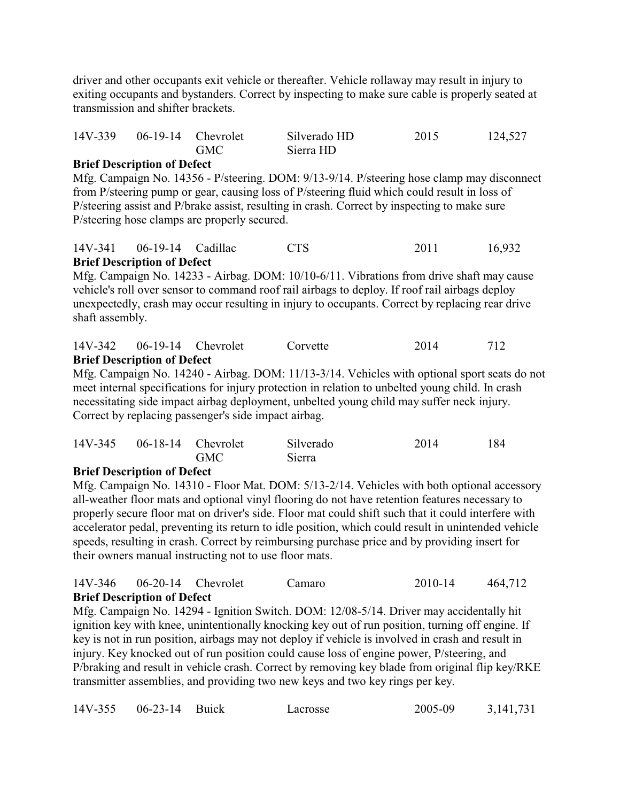driver and other occupants exit vehicle or thereafter. Vehicle rollaway may result in injury to exiting occupants and bystanders. Correct by inspecting to make sure cable is properly seated at transmission and shifter brackets.

| 14V-339 | $06-19-14$ Chevrolet |            | Silverado HD | 2015 | 124,527 |
|---------|----------------------|------------|--------------|------|---------|
|         |                      | <b>GMC</b> | Sierra HD    |      |         |

### **Brief Description of Defect**

Mfg. Campaign No. 14356 - P/steering. DOM: 9/13-9/14. P/steering hose clamp may disconnect from P/steering pump or gear, causing loss of P/steering fluid which could result in loss of P/steering assist and P/brake assist, resulting in crash. Correct by inspecting to make sure P/steering hose clamps are properly secured.

|         | <b>Brief Description of Defect</b> |            |      |        |
|---------|------------------------------------|------------|------|--------|
| 14V-341 | 06-19-14 Cadillac                  | <b>CTS</b> | 2011 | 16,932 |

Mfg. Campaign No. 14233 - Airbag. DOM: 10/10-6/11. Vibrations from drive shaft may cause vehicle's roll over sensor to command roof rail airbags to deploy. If roof rail airbags deploy unexpectedly, crash may occur resulting in injury to occupants. Correct by replacing rear drive shaft assembly.

#### 14V-342 06-19-14 Chevrolet Corvette 2014 712 **Brief Description of Defect**

Mfg. Campaign No. 14240 - Airbag. DOM: 11/13-3/14. Vehicles with optional sport seats do not meet internal specifications for injury protection in relation to unbelted young child. In crash necessitating side impact airbag deployment, unbelted young child may suffer neck injury. Correct by replacing passenger's side impact airbag.

|            | 14V-345 06-18-14 Chevrolet     | GMC | Silverado<br>Sierra | 2014 | 184 |
|------------|--------------------------------|-----|---------------------|------|-----|
| <b>n</b> n | .<br>$\mathbf{a}$ $\mathbf{a}$ |     |                     |      |     |

#### **Brief Description of Defect**

Mfg. Campaign No. 14310 - Floor Mat. DOM: 5/13-2/14. Vehicles with both optional accessory all-weather floor mats and optional vinyl flooring do not have retention features necessary to properly secure floor mat on driver's side. Floor mat could shift such that it could interfere with accelerator pedal, preventing its return to idle position, which could result in unintended vehicle speeds, resulting in crash. Correct by reimbursing purchase price and by providing insert for their owners manual instructing not to use floor mats.

|         | <b>Brief Description of Defect</b> |                      |        |         |         |
|---------|------------------------------------|----------------------|--------|---------|---------|
| 14V-346 |                                    | $06-20-14$ Chevrolet | Camaro | 2010-14 | 464,712 |

Mfg. Campaign No. 14294 - Ignition Switch. DOM: 12/08-5/14. Driver may accidentally hit ignition key with knee, unintentionally knocking key out of run position, turning off engine. If key is not in run position, airbags may not deploy if vehicle is involved in crash and result in injury. Key knocked out of run position could cause loss of engine power, P/steering, and P/braking and result in vehicle crash. Correct by removing key blade from original flip key/RKE transmitter assemblies, and providing two new keys and two key rings per key.

|  | 14V-355 06-23-14 Buick |  | Lacrosse | 2005-09 | 3, 141, 731 |
|--|------------------------|--|----------|---------|-------------|
|--|------------------------|--|----------|---------|-------------|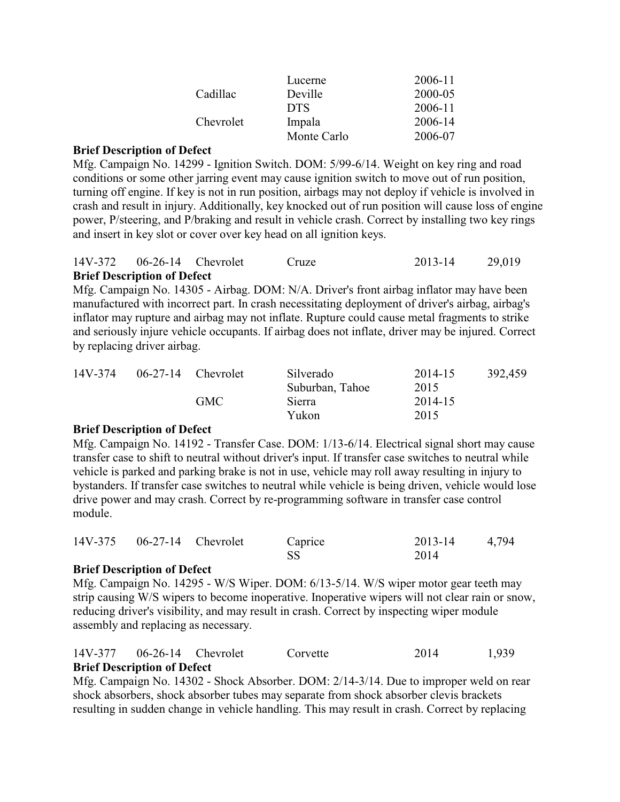|           | Lucerne     | 2006-11 |
|-----------|-------------|---------|
| Cadillac  | Deville     | 2000-05 |
|           | <b>DTS</b>  | 2006-11 |
| Chevrolet | Impala      | 2006-14 |
|           | Monte Carlo | 2006-07 |

Mfg. Campaign No. 14299 - Ignition Switch. DOM: 5/99-6/14. Weight on key ring and road conditions or some other jarring event may cause ignition switch to move out of run position, turning off engine. If key is not in run position, airbags may not deploy if vehicle is involved in crash and result in injury. Additionally, key knocked out of run position will cause loss of engine power, P/steering, and P/braking and result in vehicle crash. Correct by installing two key rings and insert in key slot or cover over key head on all ignition keys.

| 14V-372 06-26-14 Chevrolet         | Cruze | 2013-14 | 29,019 |
|------------------------------------|-------|---------|--------|
| <b>Brief Description of Defect</b> |       |         |        |

Mfg. Campaign No. 14305 - Airbag. DOM: N/A. Driver's front airbag inflator may have been manufactured with incorrect part. In crash necessitating deployment of driver's airbag, airbag's inflator may rupture and airbag may not inflate. Rupture could cause metal fragments to strike and seriously injure vehicle occupants. If airbag does not inflate, driver may be injured. Correct by replacing driver airbag.

| 14V-374 | $06-27-14$ Chevrolet | Silverado       | 2014-15 | 392,459 |
|---------|----------------------|-----------------|---------|---------|
|         |                      | Suburban, Tahoe | 2015    |         |
|         | GMC                  | Sierra          | 2014-15 |         |
|         |                      | Yukon           | 2015    |         |

#### **Brief Description of Defect**

Mfg. Campaign No. 14192 - Transfer Case. DOM: 1/13-6/14. Electrical signal short may cause transfer case to shift to neutral without driver's input. If transfer case switches to neutral while vehicle is parked and parking brake is not in use, vehicle may roll away resulting in injury to bystanders. If transfer case switches to neutral while vehicle is being driven, vehicle would lose drive power and may crash. Correct by re-programming software in transfer case control module.

|  | 14V-375 06-27-14 Chevrolet | Caprice | 2013-14 | 4,794 |
|--|----------------------------|---------|---------|-------|
|  |                            |         | 2014    |       |

## **Brief Description of Defect**

Mfg. Campaign No. 14295 - W/S Wiper. DOM: 6/13-5/14. W/S wiper motor gear teeth may strip causing W/S wipers to become inoperative. Inoperative wipers will not clear rain or snow, reducing driver's visibility, and may result in crash. Correct by inspecting wiper module assembly and replacing as necessary.

| 14V-377 06-26-14 Chevrolet         | Corvette | 2014 | 1,939 |
|------------------------------------|----------|------|-------|
| <b>Brief Description of Defect</b> |          |      |       |

Mfg. Campaign No. 14302 - Shock Absorber. DOM: 2/14-3/14. Due to improper weld on rear shock absorbers, shock absorber tubes may separate from shock absorber clevis brackets resulting in sudden change in vehicle handling. This may result in crash. Correct by replacing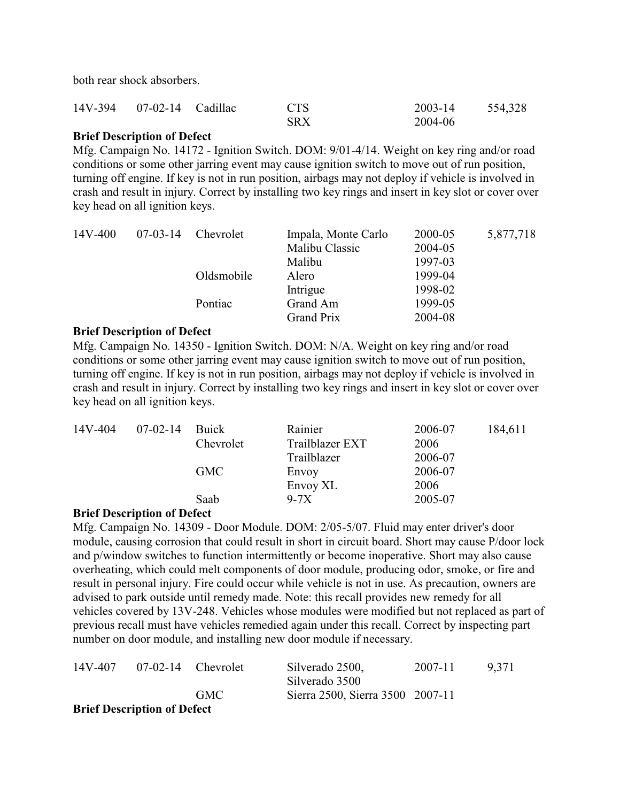both rear shock absorbers.

| 14V-394 07-02-14 Cadillac | <b>CTS</b> | 2003-14 | 554,328 |
|---------------------------|------------|---------|---------|
|                           | <b>SRX</b> | 2004-06 |         |

### **Brief Description of Defect**

Mfg. Campaign No. 14172 - Ignition Switch. DOM: 9/01-4/14. Weight on key ring and/or road conditions or some other jarring event may cause ignition switch to move out of run position, turning off engine. If key is not in run position, airbags may not deploy if vehicle is involved in crash and result in injury. Correct by installing two key rings and insert in key slot or cover over key head on all ignition keys.

| 14V-400 | $07-03-14$ | Chevrolet  | Impala, Monte Carlo | 2000-05 | 5,877,718 |
|---------|------------|------------|---------------------|---------|-----------|
|         |            |            | Malibu Classic      | 2004-05 |           |
|         |            |            | Malibu              | 1997-03 |           |
|         |            | Oldsmobile | Alero               | 1999-04 |           |
|         |            |            | Intrigue            | 1998-02 |           |
|         |            | Pontiac    | Grand Am            | 1999-05 |           |
|         |            |            | <b>Grand Prix</b>   | 2004-08 |           |

#### **Brief Description of Defect**

Mfg. Campaign No. 14350 - Ignition Switch. DOM: N/A. Weight on key ring and/or road conditions or some other jarring event may cause ignition switch to move out of run position, turning off engine. If key is not in run position, airbags may not deploy if vehicle is involved in crash and result in injury. Correct by installing two key rings and insert in key slot or cover over key head on all ignition keys.

| 14V-404 | $07-02-14$ | Buick      | Rainier         | 2006-07 | 184,611 |
|---------|------------|------------|-----------------|---------|---------|
|         |            | Chevrolet  | Trailblazer EXT | 2006    |         |
|         |            |            | Trailblazer     | 2006-07 |         |
|         |            | <b>GMC</b> | Envoy           | 2006-07 |         |
|         |            |            | Envoy XL        | 2006    |         |
|         |            | Saab       | $9-7X$          | 2005-07 |         |
|         |            |            |                 |         |         |

#### **Brief Description of Defect**

Mfg. Campaign No. 14309 - Door Module. DOM: 2/05-5/07. Fluid may enter driver's door module, causing corrosion that could result in short in circuit board. Short may cause P/door lock and p/window switches to function intermittently or become inoperative. Short may also cause overheating, which could melt components of door module, producing odor, smoke, or fire and result in personal injury. Fire could occur while vehicle is not in use. As precaution, owners are advised to park outside until remedy made. Note: this recall provides new remedy for all vehicles covered by 13V-248. Vehicles whose modules were modified but not replaced as part of previous recall must have vehicles remedied again under this recall. Correct by inspecting part number on door module, and installing new door module if necessary.

| 14V-407 |                                    | $07-02-14$ Chevrolet | Silverado 2500,                  | 2007-11 | 9.371 |
|---------|------------------------------------|----------------------|----------------------------------|---------|-------|
|         |                                    |                      | Silverado 3500                   |         |       |
|         |                                    | GMC.                 | Sierra 2500, Sierra 3500 2007-11 |         |       |
|         | <b>Brief Description of Defect</b> |                      |                                  |         |       |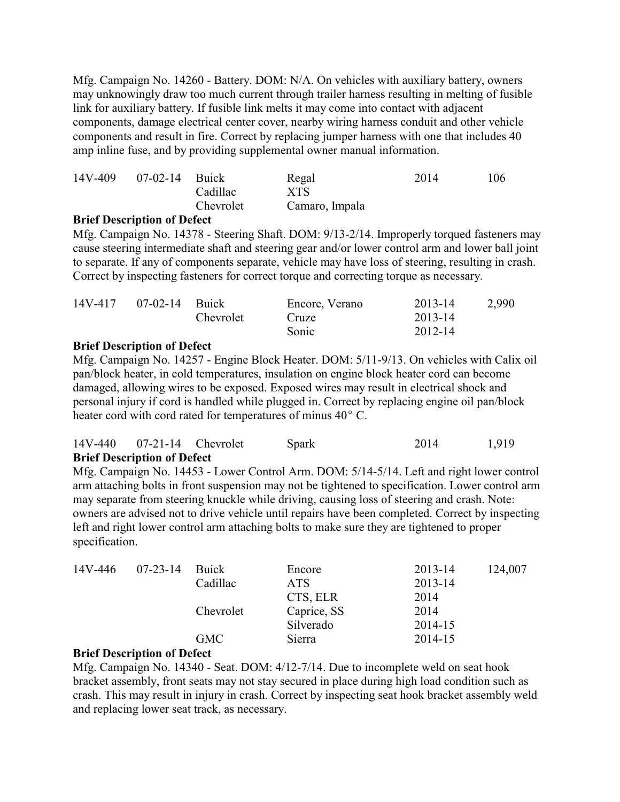Mfg. Campaign No. 14260 - Battery. DOM: N/A. On vehicles with auxiliary battery, owners may unknowingly draw too much current through trailer harness resulting in melting of fusible link for auxiliary battery. If fusible link melts it may come into contact with adjacent components, damage electrical center cover, nearby wiring harness conduit and other vehicle components and result in fire. Correct by replacing jumper harness with one that includes 40 amp inline fuse, and by providing supplemental owner manual information.

| 14V-409 | $07-02-14$ Buick |           | Regal          | 2014 | 106 |
|---------|------------------|-----------|----------------|------|-----|
|         |                  | Cadillac  | <b>XTS</b>     |      |     |
|         |                  | Chevrolet | Camaro, Impala |      |     |

#### **Brief Description of Defect**

Mfg. Campaign No. 14378 - Steering Shaft. DOM: 9/13-2/14. Improperly torqued fasteners may cause steering intermediate shaft and steering gear and/or lower control arm and lower ball joint to separate. If any of components separate, vehicle may have loss of steering, resulting in crash. Correct by inspecting fasteners for correct torque and correcting torque as necessary.

| 14V-417 | 07-02-14 Buick |           | Encore, Verano | 2013-14 | 2,990 |
|---------|----------------|-----------|----------------|---------|-------|
|         |                | Chevrolet | Cruze          | 2013-14 |       |
|         |                |           | Sonic          | 2012-14 |       |

### **Brief Description of Defect**

Mfg. Campaign No. 14257 - Engine Block Heater. DOM: 5/11-9/13. On vehicles with Calix oil pan/block heater, in cold temperatures, insulation on engine block heater cord can become damaged, allowing wires to be exposed. Exposed wires may result in electrical shock and personal injury if cord is handled while plugged in. Correct by replacing engine oil pan/block heater cord with cord rated for temperatures of minus  $40^{\circ}$  C.

| $14V-440$ 07-21-14 Chevrolet       | Spark | 2014 | 1,919 |
|------------------------------------|-------|------|-------|
| <b>Brief Description of Defect</b> |       |      |       |

Mfg. Campaign No. 14453 - Lower Control Arm. DOM: 5/14-5/14. Left and right lower control arm attaching bolts in front suspension may not be tightened to specification. Lower control arm may separate from steering knuckle while driving, causing loss of steering and crash. Note: owners are advised not to drive vehicle until repairs have been completed. Correct by inspecting left and right lower control arm attaching bolts to make sure they are tightened to proper specification.

| $07 - 23 - 14$ | Buick      | Encore      | 2013-14 | 124,007 |
|----------------|------------|-------------|---------|---------|
|                | Cadillac   | ATS         | 2013-14 |         |
|                |            | CTS, ELR    | 2014    |         |
|                | Chevrolet  | Caprice, SS | 2014    |         |
|                |            | Silverado   | 2014-15 |         |
|                | <b>GMC</b> | Sierra      | 2014-15 |         |
|                |            |             |         |         |

## **Brief Description of Defect**

Mfg. Campaign No. 14340 - Seat. DOM: 4/12-7/14. Due to incomplete weld on seat hook bracket assembly, front seats may not stay secured in place during high load condition such as crash. This may result in injury in crash. Correct by inspecting seat hook bracket assembly weld and replacing lower seat track, as necessary.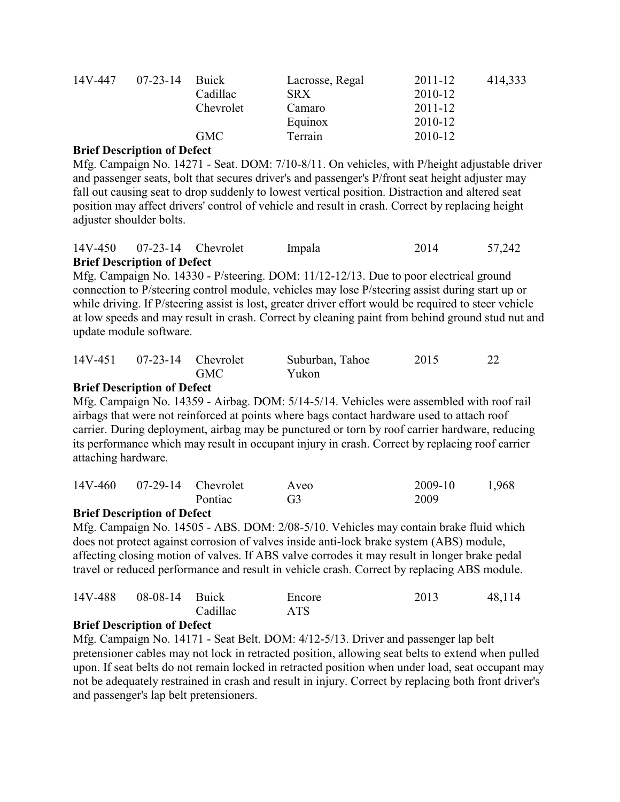| 14V-447<br>$07 - 23 - 14$ |          | Buick      | Lacrosse, Regal | 2011-12 | 414,333 |
|---------------------------|----------|------------|-----------------|---------|---------|
|                           | Cadillac | <b>SRX</b> | 2010-12         |         |         |
|                           |          | Chevrolet  | Camaro          | 2011-12 |         |
|                           |          |            | Equinox         | 2010-12 |         |
|                           |          | <b>GMC</b> | Terrain         | 2010-12 |         |

Mfg. Campaign No. 14271 - Seat. DOM: 7/10-8/11. On vehicles, with P/height adjustable driver and passenger seats, bolt that secures driver's and passenger's P/front seat height adjuster may fall out causing seat to drop suddenly to lowest vertical position. Distraction and altered seat position may affect drivers' control of vehicle and result in crash. Correct by replacing height adjuster shoulder bolts.

|                                    | 14V-450 07-23-14 Chevrolet | Impala | 2014 | 57,242 |
|------------------------------------|----------------------------|--------|------|--------|
| <b>Rriof Description of Defect</b> |                            |        |      |        |

## **Brief Description of Defect**

Mfg. Campaign No. 14330 - P/steering. DOM: 11/12-12/13. Due to poor electrical ground connection to P/steering control module, vehicles may lose P/steering assist during start up or while driving. If P/steering assist is lost, greater driver effort would be required to steer vehicle at low speeds and may result in crash. Correct by cleaning paint from behind ground stud nut and update module software.

| 14V-451 07-23-14 Chevrolet |            | Suburban, Tahoe | 2015 | 22 |
|----------------------------|------------|-----------------|------|----|
|                            | <b>GMC</b> | Yukon           |      |    |

## **Brief Description of Defect**

Mfg. Campaign No. 14359 - Airbag. DOM: 5/14-5/14. Vehicles were assembled with roof rail airbags that were not reinforced at points where bags contact hardware used to attach roof carrier. During deployment, airbag may be punctured or torn by roof carrier hardware, reducing its performance which may result in occupant injury in crash. Correct by replacing roof carrier attaching hardware.

|  | 14V-460 07-29-14 Chevrolet | Aveo           | 2009-10 | 1,968 |
|--|----------------------------|----------------|---------|-------|
|  | <b>Pontiac</b>             | G <sub>3</sub> | 2009    |       |

## **Brief Description of Defect**

Mfg. Campaign No. 14505 - ABS. DOM: 2/08-5/10. Vehicles may contain brake fluid which does not protect against corrosion of valves inside anti-lock brake system (ABS) module, affecting closing motion of valves. If ABS valve corrodes it may result in longer brake pedal travel or reduced performance and result in vehicle crash. Correct by replacing ABS module.

| 14V-488 08-08-14 Buick |          | Encore     | 2013 | 48,114 |
|------------------------|----------|------------|------|--------|
|                        | Cadillac | <b>ATS</b> |      |        |

## **Brief Description of Defect**

Mfg. Campaign No. 14171 - Seat Belt. DOM: 4/12-5/13. Driver and passenger lap belt pretensioner cables may not lock in retracted position, allowing seat belts to extend when pulled upon. If seat belts do not remain locked in retracted position when under load, seat occupant may not be adequately restrained in crash and result in injury. Correct by replacing both front driver's and passenger's lap belt pretensioners.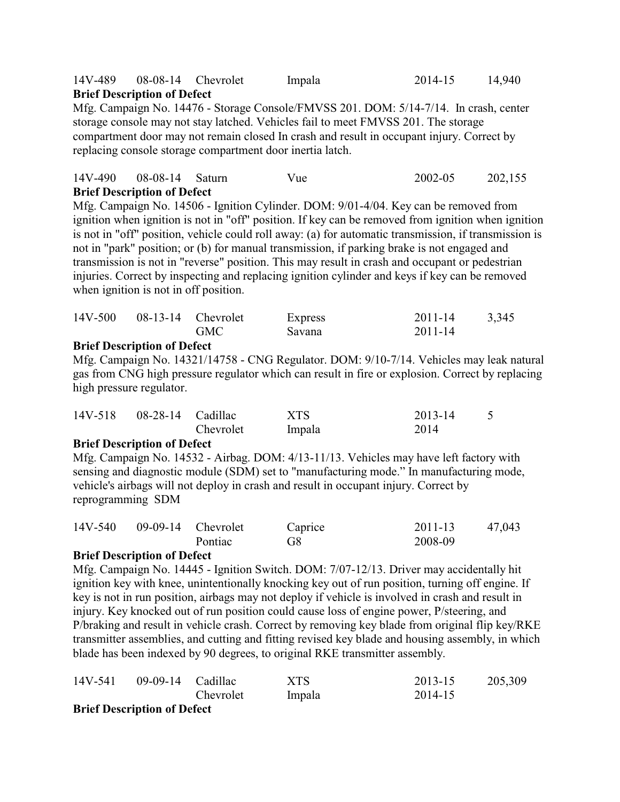# 14V-489 08-08-14 Chevrolet Impala 2014-15 14,940 **Brief Description of Defect**

Mfg. Campaign No. 14476 - Storage Console/FMVSS 201. DOM: 5/14-7/14. In crash, center storage console may not stay latched. Vehicles fail to meet FMVSS 201. The storage compartment door may not remain closed In crash and result in occupant injury. Correct by replacing console storage compartment door inertia latch.

| 14V-490 08-08-14 Saturn            | Vue | 2002-05 | 202,155 |
|------------------------------------|-----|---------|---------|
| <b>Brief Description of Defect</b> |     |         |         |

Mfg. Campaign No. 14506 - Ignition Cylinder. DOM: 9/01-4/04. Key can be removed from ignition when ignition is not in "off" position. If key can be removed from ignition when ignition is not in "off" position, vehicle could roll away: (a) for automatic transmission, if transmission is not in "park" position; or (b) for manual transmission, if parking brake is not engaged and transmission is not in "reverse" position. This may result in crash and occupant or pedestrian injuries. Correct by inspecting and replacing ignition cylinder and keys if key can be removed when ignition is not in off position.

| 14V-500 | $08-13-14$ Chevrolet | Express | 2011-14 | 3,345 |
|---------|----------------------|---------|---------|-------|
|         | <b>GMC</b>           | Savana  | 2011-14 |       |
|         |                      |         |         |       |

#### **Brief Description of Defect**

Mfg. Campaign No. 14321/14758 - CNG Regulator. DOM: 9/10-7/14. Vehicles may leak natural gas from CNG high pressure regulator which can result in fire or explosion. Correct by replacing high pressure regulator.

| 14V-518 | 08-28-14 Cadillac |           | <b>XTS</b> | 2013-14 |  |
|---------|-------------------|-----------|------------|---------|--|
|         |                   | Chevrolet | Impala     | 2014    |  |

#### **Brief Description of Defect**

Mfg. Campaign No. 14532 - Airbag. DOM: 4/13-11/13. Vehicles may have left factory with sensing and diagnostic module (SDM) set to "manufacturing mode." In manufacturing mode, vehicle's airbags will not deploy in crash and result in occupant injury. Correct by reprogramming SDM

| 14V-540 09-09-14 Chevrolet |         | Caprice | 2011-13 | 47,043 |
|----------------------------|---------|---------|---------|--------|
|                            | Pontiac | G8      | 2008-09 |        |

## **Brief Description of Defect**

Mfg. Campaign No. 14445 - Ignition Switch. DOM: 7/07-12/13. Driver may accidentally hit ignition key with knee, unintentionally knocking key out of run position, turning off engine. If key is not in run position, airbags may not deploy if vehicle is involved in crash and result in injury. Key knocked out of run position could cause loss of engine power, P/steering, and P/braking and result in vehicle crash. Correct by removing key blade from original flip key/RKE transmitter assemblies, and cutting and fitting revised key blade and housing assembly, in which blade has been indexed by 90 degrees, to original RKE transmitter assembly.

| 14V-541 | 09-09-14 Cadillac                  |           | XTS    | 2013-15 | 205,309 |
|---------|------------------------------------|-----------|--------|---------|---------|
|         |                                    | Chevrolet | Impala | 2014-15 |         |
|         | <b>Driof Dogarintion of Dafact</b> |           |        |         |         |

#### **Brief Description of Defect**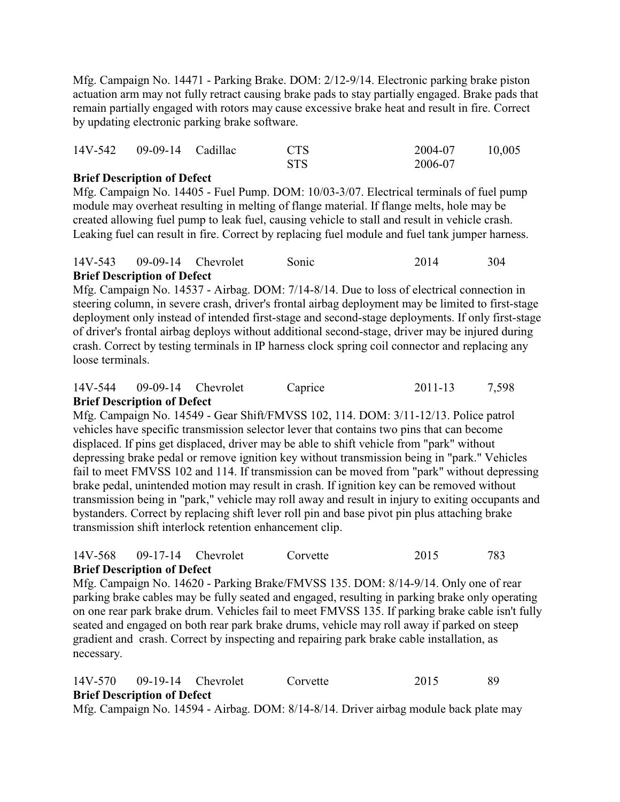Mfg. Campaign No. 14471 - Parking Brake. DOM: 2/12-9/14. Electronic parking brake piston actuation arm may not fully retract causing brake pads to stay partially engaged. Brake pads that remain partially engaged with rotors may cause excessive brake heat and result in fire. Correct by updating electronic parking brake software.

| 14V-542 09-09-14 Cadillac | <b>CTS</b> | 2004-07 | 10,005 |
|---------------------------|------------|---------|--------|
|                           | <b>STS</b> | 2006-07 |        |

## **Brief Description of Defect**

Mfg. Campaign No. 14405 - Fuel Pump. DOM: 10/03-3/07. Electrical terminals of fuel pump module may overheat resulting in melting of flange material. If flange melts, hole may be created allowing fuel pump to leak fuel, causing vehicle to stall and result in vehicle crash. Leaking fuel can result in fire. Correct by replacing fuel module and fuel tank jumper harness.

#### 14V-543 09-09-14 Chevrolet Sonic 2014 304 **Brief Description of Defect**

Mfg. Campaign No. 14537 - Airbag. DOM: 7/14-8/14. Due to loss of electrical connection in steering column, in severe crash, driver's frontal airbag deployment may be limited to first-stage deployment only instead of intended first-stage and second-stage deployments. If only first-stage of driver's frontal airbag deploys without additional second-stage, driver may be injured during crash. Correct by testing terminals in IP harness clock spring coil connector and replacing any loose terminals.

### 14V-544 09-09-14 Chevrolet Caprice 2011-13 7,598 **Brief Description of Defect**

Mfg. Campaign No. 14549 - Gear Shift/FMVSS 102, 114. DOM: 3/11-12/13. Police patrol vehicles have specific transmission selector lever that contains two pins that can become displaced. If pins get displaced, driver may be able to shift vehicle from "park" without depressing brake pedal or remove ignition key without transmission being in "park." Vehicles fail to meet FMVSS 102 and 114. If transmission can be moved from "park" without depressing brake pedal, unintended motion may result in crash. If ignition key can be removed without transmission being in "park," vehicle may roll away and result in injury to exiting occupants and bystanders. Correct by replacing shift lever roll pin and base pivot pin plus attaching brake transmission shift interlock retention enhancement clip.

#### 14V-568 09-17-14 Chevrolet Corvette 2015 783 **Brief Description of Defect**

Mfg. Campaign No. 14620 - Parking Brake/FMVSS 135. DOM: 8/14-9/14. Only one of rear parking brake cables may be fully seated and engaged, resulting in parking brake only operating on one rear park brake drum. Vehicles fail to meet FMVSS 135. If parking brake cable isn't fully seated and engaged on both rear park brake drums, vehicle may roll away if parked on steep gradient and crash. Correct by inspecting and repairing park brake cable installation, as necessary.

14V-570 09-19-14 Chevrolet Corvette 2015 89 **Brief Description of Defect**

Mfg. Campaign No. 14594 - Airbag. DOM: 8/14-8/14. Driver airbag module back plate may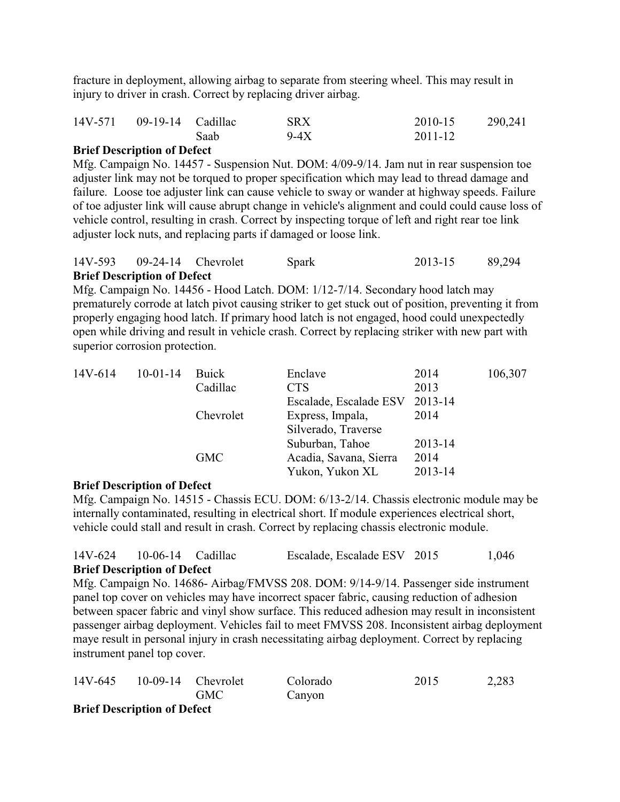fracture in deployment, allowing airbag to separate from steering wheel. This may result in injury to driver in crash. Correct by replacing driver airbag.

| 14V-571 09-19-14 Cadillac |      | <b>SRX</b> | 2010-15     | 290,241 |
|---------------------------|------|------------|-------------|---------|
|                           | Saab | $9-4X$     | $2011 - 12$ |         |

### **Brief Description of Defect**

Mfg. Campaign No. 14457 - Suspension Nut. DOM: 4/09-9/14. Jam nut in rear suspension toe adjuster link may not be torqued to proper specification which may lead to thread damage and failure. Loose toe adjuster link can cause vehicle to sway or wander at highway speeds. Failure of toe adjuster link will cause abrupt change in vehicle's alignment and could could cause loss of vehicle control, resulting in crash. Correct by inspecting torque of left and right rear toe link adjuster lock nuts, and replacing parts if damaged or loose link.

| 14V-593 09-24-14 Chevrolet         | Spark | 2013-15 | 89,294 |
|------------------------------------|-------|---------|--------|
| <b>Brief Description of Defect</b> |       |         |        |

Mfg. Campaign No. 14456 - Hood Latch. DOM: 1/12-7/14. Secondary hood latch may prematurely corrode at latch pivot causing striker to get stuck out of position, preventing it from properly engaging hood latch. If primary hood latch is not engaged, hood could unexpectedly open while driving and result in vehicle crash. Correct by replacing striker with new part with superior corrosion protection.

| 14V-614 | $10-01-14$ | Buick               | Enclave                | 2014    | 106,307 |
|---------|------------|---------------------|------------------------|---------|---------|
|         |            | Cadillac            | <b>CTS</b>             | 2013    |         |
|         |            |                     | Escalade, Escalade ESV | 2013-14 |         |
|         |            | Chevrolet           | Express, Impala,       | 2014    |         |
|         |            | Silverado, Traverse |                        |         |         |
|         |            |                     | Suburban, Tahoe        | 2013-14 |         |
|         |            | <b>GMC</b>          | Acadia, Savana, Sierra | 2014    |         |
|         |            |                     | Yukon, Yukon XL        | 2013-14 |         |

#### **Brief Description of Defect**

Mfg. Campaign No. 14515 - Chassis ECU. DOM: 6/13-2/14. Chassis electronic module may be internally contaminated, resulting in electrical short. If module experiences electrical short, vehicle could stall and result in crash. Correct by replacing chassis electronic module.

#### 14V-624 10-06-14 Cadillac Escalade, Escalade ESV 2015 1,046 **Brief Description of Defect**

Mfg. Campaign No. 14686- Airbag/FMVSS 208. DOM: 9/14-9/14. Passenger side instrument panel top cover on vehicles may have incorrect spacer fabric, causing reduction of adhesion between spacer fabric and vinyl show surface. This reduced adhesion may result in inconsistent passenger airbag deployment. Vehicles fail to meet FMVSS 208. Inconsistent airbag deployment maye result in personal injury in crash necessitating airbag deployment. Correct by replacing instrument panel top cover.

| 14V-645                            |  | $10-09-14$ Chevrolet | Colorado | 2015 | 2,283 |  |
|------------------------------------|--|----------------------|----------|------|-------|--|
|                                    |  | <b>GMC</b>           | Canyon   |      |       |  |
| <b>Brief Description of Defect</b> |  |                      |          |      |       |  |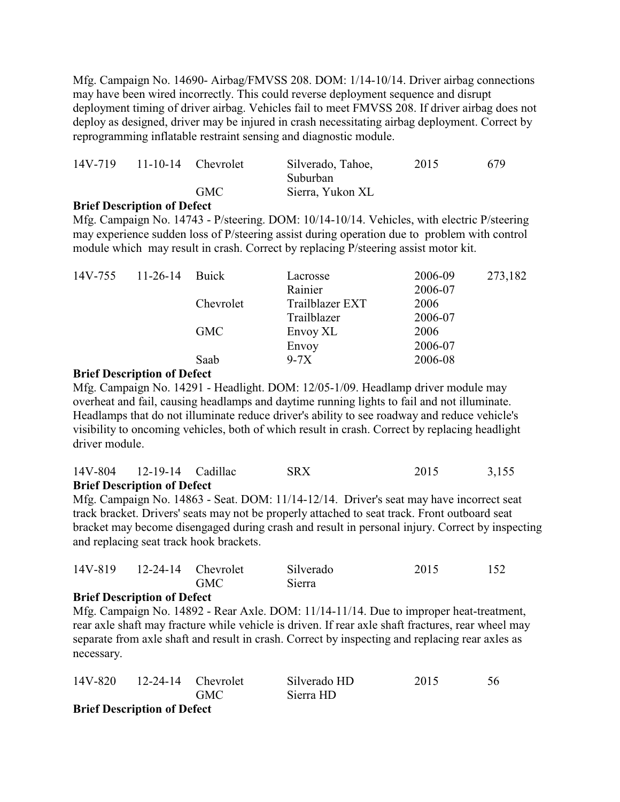Mfg. Campaign No. 14690- Airbag/FMVSS 208. DOM: 1/14-10/14. Driver airbag connections may have been wired incorrectly. This could reverse deployment sequence and disrupt deployment timing of driver airbag. Vehicles fail to meet FMVSS 208. If driver airbag does not deploy as designed, driver may be injured in crash necessitating airbag deployment. Correct by reprogramming inflatable restraint sensing and diagnostic module.

| 14V-719 | $11-10-14$ Chevrolet | Silverado, Tahoe,            | 2015 | 679 |
|---------|----------------------|------------------------------|------|-----|
|         | <b>GMC</b>           | Suburban<br>Sierra, Yukon XL |      |     |
|         |                      |                              |      |     |

#### **Brief Description of Defect**

Mfg. Campaign No. 14743 - P/steering. DOM: 10/14-10/14. Vehicles, with electric P/steering may experience sudden loss of P/steering assist during operation due to problem with control module which may result in crash. Correct by replacing P/steering assist motor kit.

| $14V-755$ 11-26-14 | Buick      | Lacrosse        | 2006-09 | 273,182 |
|--------------------|------------|-----------------|---------|---------|
|                    |            | Rainier         | 2006-07 |         |
|                    | Chevrolet  | Trailblazer EXT | 2006    |         |
|                    |            | Trailblazer     | 2006-07 |         |
|                    | <b>GMC</b> | Envoy XL        | 2006    |         |
|                    |            | Envoy           | 2006-07 |         |
|                    | Saab       | $9-7X$          | 2006-08 |         |

#### **Brief Description of Defect**

Mfg. Campaign No. 14291 - Headlight. DOM: 12/05-1/09. Headlamp driver module may overheat and fail, causing headlamps and daytime running lights to fail and not illuminate. Headlamps that do not illuminate reduce driver's ability to see roadway and reduce vehicle's visibility to oncoming vehicles, both of which result in crash. Correct by replacing headlight driver module.

| 14V-804 12-19-14 Cadillac          | <b>SRX</b> | 2015 | 3,155 |
|------------------------------------|------------|------|-------|
| <b>Brief Description of Defect</b> |            |      |       |

Mfg. Campaign No. 14863 - Seat. DOM: 11/14-12/14. Driver's seat may have incorrect seat track bracket. Drivers' seats may not be properly attached to seat track. Front outboard seat bracket may become disengaged during crash and result in personal injury. Correct by inspecting and replacing seat track hook brackets.

| 14V-819 12-24-14 Chevrolet |            | Silverado | 2015 | 152 |
|----------------------------|------------|-----------|------|-----|
|                            | <b>GMC</b> | Sierra    |      |     |

#### **Brief Description of Defect**

Mfg. Campaign No. 14892 - Rear Axle. DOM: 11/14-11/14. Due to improper heat-treatment, rear axle shaft may fracture while vehicle is driven. If rear axle shaft fractures, rear wheel may separate from axle shaft and result in crash. Correct by inspecting and replacing rear axles as necessary.

|                           | 14V-820 12-24-14 Chevrolet |            | Silverado HD | 2015 | 56 |
|---------------------------|----------------------------|------------|--------------|------|----|
|                           |                            | <b>GMC</b> | Sierra HD    |      |    |
| $\mathbf n$ . $\mathbf m$ | .<br>er e                  |            |              |      |    |

**Brief Description of Defect**